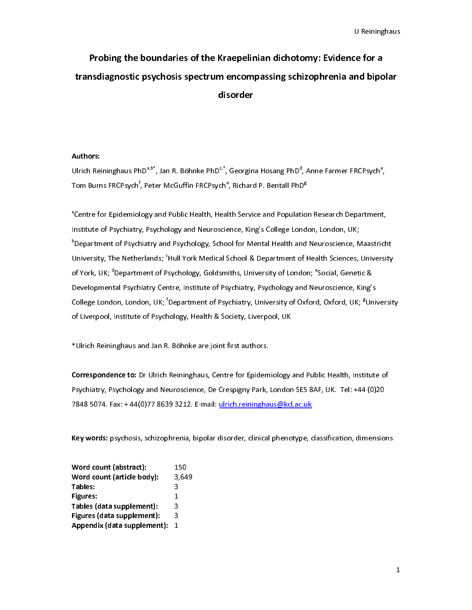# $\mathbf{C}$ e for a<br>nd bipolar Probing the boundaries of the Kraepelinian dichotomy: Evidence for a transdiagnostic psychosis spectrum encompassing schizophrenia and bipolar disorder

# Authors:

 |<br>|<br>|  $\begin{array}{c} \n \downarrow \quad \quad \downarrow \quad \quad \downarrow \quad \quad \downarrow \quad \quad \downarrow \quad \quad \downarrow \quad \quad \downarrow \quad \quad \downarrow \quad \quad \downarrow \quad \quad \downarrow \quad \quad \downarrow \quad \quad \downarrow \quad \downarrow \quad \downarrow \quad \downarrow \quad \downarrow \quad \downarrow \quad \downarrow \quad \downarrow \quad \downarrow \quad \downarrow \quad \downarrow \quad \downarrow \quad \downarrow \quad \downarrow \quad \downarrow \quad \downarrow \quad \downarrow \quad \downarrow \quad \downarrow \quad \downarrow \quad \downarrow \quad \downarrow \quad \downarrow \quad \downarrow \quad \downarrow \quad \downarrow \quad \downarrow \$ 

Ulrich Reininghaus PhD<sup>e,5</sup>, Jan R. Böhnke PhD<sup>e</sup>, , Georgina Hosang PhD<sup>e</sup><br>Tom Burns FRCPsych<sup>f</sup>, Peter McGuffin FRCPsych<sup>e</sup>, Richard P. Bentall PhD<br><sup>a</sup>Centre for Epidemiology and Public Health, Health Service and Populat , Anne Farmer FRCPsych®<br><sub>)</sub>g<br>ion Research Department<br>idon, London, UK;<br>d Neuroscience, Maastric ,<br>.,<br>., Tom Burns FRCPsych<br><sup>a</sup>Centre for Epidemiol<br>Institute of Psychiatry<br><sup>b</sup>Department of Psych<br>University, The Nethe , Peter McGuffin FRCPsych®<br>ogy and Public Health, Heal<br>, Psychology and Neuroscie<br>iiatry and Psychology, Scho<br>rlands; °Hull York Medical S Richard P. Bentall PhD<sup>s</sup>,<br>th Service and Populatic<br>ence, King's College Lond<br>ol for Mental Health and<br>cchool & Department of וי<br>h<br>h a<br>|<br>|<br>| <sup>a</sup>Centre for Epidemiology and Public Health, Health Service and Population Research Department, Centre for Epidemiology and Neuroscience, King's College London, London, UK;<br>Department of Psychiatry and Psychology, School for Mental Health and Neuroscience, Maastrich<br>Jniversity, The Netherlands; "Hull York Medical Sch Institute of Psychiatry, Patter By and Neuroscience, While The Pepartment of Psychiatry and Psychology, School for Mental Health and Neuroscience, Neuroscience, King's College London, UK; <sup>d</sup>Department of Psychology, Golds <sup>b</sup>Department of Psychiatry and Psychology, School for Mental Health and Neuroscience, Maastricht Dniversity, The Netherlands; "Hull York Medical School & Department of Health Sciences, University<br>Department of Psychology, Goldsmiths, University of London; "Social, Genetic &<br>Developmental Psychiatry Centre, Institute o University, The Netherlands; `Hull York Medical School & Department of Health Sciences, University<br>of York, UK; <sup>d</sup>Department of Psychology, Goldsmiths, University of London; <sup>e</sup>Social, Genetic &<br>Developmental Psychiatry C of York, UK; "<br>Development<br>College Lond<br>of Liverpool,<br>\*Ulrich Reinin Department of Psychology, Goldsmiths, University of London; "<br>cal Psychiatry Centre, Institute of Psychiatry, Psychology and Ne<br>on, London, UK; <sup>f</sup>Department of Psychiatry, University of Oxford<br>Institute of Psychology, Hea uroscience, King's<br>uroscience, King's<br>d, Oxford, UK; <sup>g</sup>Un College London, London, UK; <sup>f</sup>Department of Psychiatry, University of Oxford, Oxford, UK; <sup>g</sup>University of Uverpool, Institute of Psychology, Health & Society, Liverpool, UK<br>\*Ulrich Reininghaus and Jan R. Böhnke are joint College London, London, UK;<br>of Liverpool, Institute of Psych<br>\*Ulrich Reininghaus and Jan R<br>Correspondence to: Dr Ulrich Department of Psychiatry, University of Oxford, Oxford, UK; <sup>s</sup><br>iology, Health & Society, Liverpool, UK<br>.<br>Böhnke are joint first authors.<br>Reininghaus, Centre for Epidemiology and Public Health, Insti  $t$ ute of

of Liverpool, Institute of Psychology, Health Courty, Liverpool, 2013<br>
\*Ulrich Reininghaus and Jan R. Böhnke are joint first authors.<br> **Correspondence to:** Dr Ulrich Reininghaus, Centre for Epidemiology<br>
Psychiatry, Psycho ,<br>|<br>|-Correspondence to: Dr Ulrich Reininghaus, Centre for Epidem<br>Psychiatry, Psychology and Neuroscience, De Crespigny Park,<br>7848 5074. Fax: +44(0)77 8639 3212. E-mail: <u>ulrich.reiningha</u> י<br>ו<br>| Psychiatry, Psychology and Neuroscience, De Crespigny Park, London SE5 8AF, UK. Tel: +44 (0)20<br>7848 5074. Fax: +44(0)77 8639 3212. E-mail: <u>ulrich.reininghaus@kcl.ac.uk</u><br>Key words: psychosis, schizophrenia, bipolar disorde Psychology and Neuroscience, De Crespigny Park, London Setaration, Neuroscience, 2014<br>1848 5074. Fax: +44(0)77 8639 3212. E-mail: <u>ulrich.reininghaus@kcl.ac.uk</u><br>Key words: psychosis, schizophrenia, bipolar disorder, clinic

|                               | Key words: psychosis, schizophrenia, bipolar disorder, clinical phenotype, classification, dimensions |
|-------------------------------|-------------------------------------------------------------------------------------------------------|
| Word count (abstract):        | 150                                                                                                   |
| Word count (article body):    | 3,649                                                                                                 |
| Tables:                       | 3                                                                                                     |
| Figures:                      | 1                                                                                                     |
| Tables (data supplement):     | 3                                                                                                     |
| Figures (data supplement):    | 3                                                                                                     |
| Appendix (data supplement): 1 |                                                                                                       |
|                               |                                                                                                       |
|                               |                                                                                                       |
|                               |                                                                                                       |
|                               |                                                                                                       |
|                               |                                                                                                       |
|                               |                                                                                                       |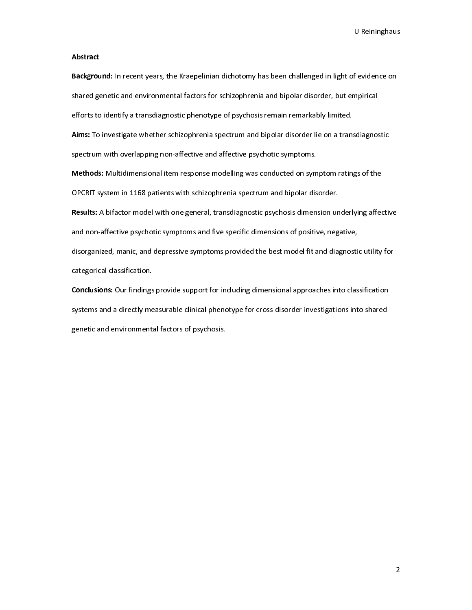# Abstract

external<br>Properties<br>Internal<br>Properties Background: In recent years, the Kraepelinian dichotomy has been challenged in light of evidence on<br>shared genetic and environmental factors for schizophrenia and bipolar disorder, but empirical<br>efforts to identify a trans

shared genetic and environmental factors for the efforts to identify a transdiagnostic phenotype of psychosis remain remarkably limited.<br>Aims: To investigate whether schizophrenia spectrum and bipolar disorder, lie on a tr Aims: To investigate whether schizophrenia spectrum and bipolar disorder lie on a transpectrum with overlapping non-affective and affective psychotic symptoms.<br>Spectrum with overlapping non-affective and affective psychoti

Aims: To investigate whether schizophrenia spectrum and bipolar disorder lie on a transdiagnostic<br>spectrum with overlapping non-affective and affective psychotic symptoms.<br>Methods: Multidimensional item response modelling

spectrum with the spectrum of the spectrum with the Methods: Multidimensional item response modelling was conducted on symptoms.<br>The OPCRIT system in 1168 patients with schizophrenia spectrum and bipolar dis<br>Results: A bif Methods: Multidimensional tem response modelling was conducted on symptom ratings of the<br>OPCRIT system in 1168 patients with schizophrenia spectrum and bipolar disorder.<br>Results: A bifactor model with one general, transdia Results: A bifactor model with one general, transdiagnostic psychosis dimension un<br>and non-affective psychotic symptoms and five specific dimensions of positive, neg.<br>disorganized, manic, and depressive symptoms provided t Results: A bifactor model with one general, transdiagnostic psychosis dimension underlying affective<br>and non-affective psychotic symptoms and five specific dimensions of positive, negative,<br>disorganized, manic, and depress disorganized, manic, and depressive symptoms provided the best model fit and diagnostic<br>categorical classification.<br>**Conclusions:** Our findings provide support for including dimensional approaches into clas<br>systems and a d

discription and a disorder manifology categorical classification.<br> **Conclusions:** Our findings provide support for including dimensional approaches into classification<br>
systems and a directly measurable clinical phenotype **Conclusions:** Our findings<br>systems and a directly me<br>genetic and environment: Explorations: Our minings provide support for including dimensional approaches into classification<br>systems and a directly measurable clinical phenotype for cross-disorder investigations into shared<br>genetic and environmenta systems and a directly measurable clinical phenotype for cross-distorder into shared into shared investigation<br>genetic and environmental factors of psychosis. genetic and environmental factors of psychosis.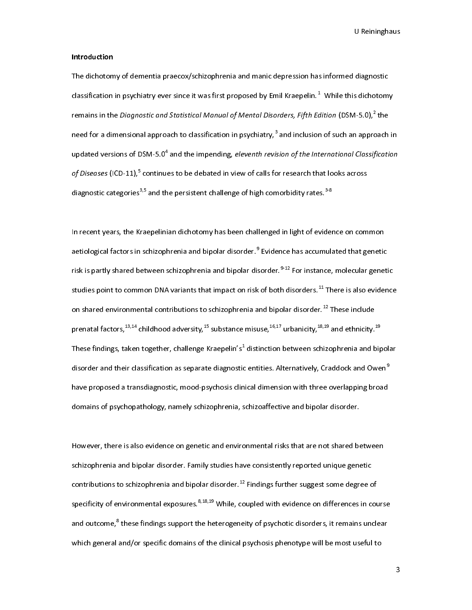## Introduction

diagnostic<br>s dichotomy<br>1-5 0)  $^{2}$  the classification in psychiatry ever since it was first proposed by Emil Kraepelin.<sup>1</sup> While this dichotom<br>remains in the *Diagnostic and Statistical Manual of Mental Disorders, Fifth Edition* (DSM-5.0),<sup>2</sup> the<br>need for a di classification in psychiatry ever since it was first proposed by Emil Kraepelin.<sup>4</sup><br>remains in the *Diagnostic and Statistical Manual of Mental Disorders, Fifth Ec*<br>need for a dimensional approach to classification in psyc fition  $(DSM-5.0)^2$  the<br>n of such an approach in<br>ernational Classification<br>at looks across remains in the *Diagnostic and Statistical Manual of Mental Disorders, Fifth Edition* (DSM-5.0),<sup>2</sup><br>need for a dimensional approach to classification in psychiatry,<sup>3</sup> and inclusion of such an appro<br>updated versions of DSM the<br>bach<br>ficati need for a dimensional approach to classification in psychiatry, $\degree$ <br>updated versions of DSM-5.0<sup>4</sup> and the impending, *eleventh revis*<br>of Diseases (ICD-11),<sup>5</sup> continues to be debated in view of calls fo<br>diagnostic catego updated versions of DSM-5.0<sup>4</sup> and the impending, *eleventh revision of the International Classification*<br>of Diseases (ICD-11),<sup>5</sup> continues to be debated in view of calls for research that looks across<br>diagnostic categor updated versions of DSM-5.0"<br>*of Diseases* (ICD-11),<sup>5</sup> continue<br>diagnostic categories<sup>3,5</sup> and th<br>In recent years, the Kraepelini and the imperiang, eleventh revision of the international classification<br>es to be debated in view of calls for research that looks across<br>e persistent challenge of high comorbidity rates.<sup>3-8</sup><br>an dichotomy has been challen

*of Diseases* (ICD-11), $^{\circ}$  continues to be debated in view of calls for research that looks across<br>diagnostic categories<sup>3,5</sup> and the persistent challenge of high comorbidity rates.<sup>3-8</sup><br>In recent years, the Kraepelinia diagnostic categories<sup>3,5</sup> and the persistent challenge of high comorbidity rates.<sup>35</sup><br>In recent years, the Kraepelinian dichotomy has been challenged in light of evider<br>aetiological factors in schizophrenia and bipolar di |<br>|<br>|<br>| aetiological factors in schizophrenia and bipolar disorder.<sup>9</sup> Evidence has accumulated that genetic<br>risk is partly shared between schizophrenia and bipolar disorder.<sup>9-12</sup> For instance, molecular genet<br>studies point to co aetiological factors in schizophrenia and bipolar disorder."<br>risk is partly shared between schizophrenia and bipolar dis<br>studies point to common DNA variants that impact on risk<br>on shared environmental contributions to sch risk is partly shared between schizophrenia and bipolar disorder.<sup>9-12</sup> For instance, molecular genetic<br>studies point to common DNA variants that impact on risk of both disorders.<sup>11</sup> There is also evidence<br>on shared envi risk is partly shared between schizophrenia and bipolar disorder.<sup>944</sup> For instance, molecular genetic<br>studies point to common DNA variants that impact on risk of both disorders.<sup>11</sup> There is also evidence<br>on shared enviro studies point to common DNA variants that impact on risk of both disorders.<sup>44</sup> There is also evidence<br>on shared environmental contributions to schizophrenia and bipolar disorder.<sup>12</sup> These include<br>prenatal factors,<sup>13,14</sup> on shared environmental contributions to schizophrenia and bipolar disorder.<sup>11</sup> These include<br>prenatal factors,<sup>13,14</sup> childhood adversity,<sup>15</sup> substance misuse,<sup>16,17</sup> urbanicity,<sup>18,19</sup> and ethnicity.<br>These findings, ta prenatal factors,<sup>25,24</sup> childhood adversity,<sup>25</sup> substance misuse,<sup>26,27</sup> urbanicity,<sup>26,25</sup> and ethnicity.<sup>25</sup><br>These findings, taken together, challenge Kraepelin's<sup>1</sup> distinction between schizophrenia and bip<br>disorder a These findings, taken together, challenge Kraepelin's\*<br>disorder and their classification as separate diagnostic<br>have proposed a transdiagnostic, mood-psychosis clin<br>domains of psychopathology, namely schizophrenia, s distinction between schipping and only chiral contracts.<br>
Sentities. Alternatively, Craddock and Owen<sup>9</sup><br>
Sical dimension with three overlapping broad<br>
chizoaffective and bipolar disorder. disorder and their classification as separate diagnostic entities. Alternatively, Craddock and Owen<sup>-</sup><br>have proposed a transdiagnostic, mood-psychosis clinical dimension with three overlapping broad<br>domains of psychopathol

domains of psychopathology, namely schizophrenia, schizoaffective and bipolar disorder.<br>However, there is also evidence on genetic and environmental risks that are not shared between<br>schizophrenia and bipolar disorder. Fam domains of psychopathology, namely schizophrenia, schizoaffective and bipolar disorder.<br>However, there is also evidence on genetic and environmental risks that are not shared between<br>schizophrenia and bipolar disorder. Fam |<br>|<br>|<br>| schizophrenia and bipolar disorder. Family studies have consistently reported unique genetic<br>contributions to schizophrenia and bipolar disorder.<sup>12</sup> Findings further suggest some degree of<br>specificity of environmental ex schizophrenia and bipolar disorder.<sup>12</sup> Findings further suggest some degree of specificity of environmental exposures.<sup>8,18,19</sup> While, coupled with evidence on differences in consistently of environmental exposures.<sup>8,18,</sup> contributions to schizophrenia and bipolar disorder.<sup>12</sup> Findings further suggest some degree of<br>specificity of environmental exposures.<sup>8,18,19</sup> While, coupled with evidence on differences in cou<br>and outcome,<sup>8</sup> these fin and outcome,<sup>8</sup> these findings support the heterogeneity of psychotic disorders, it remains unclear<br>which general and/or specific domains of the clinical psychosis phenotype will be most useful to and outcome,"<br>which general<br>a and/or specific domains of the clinical psychosis phenotype will be most useful to  $\frac{1}{2}$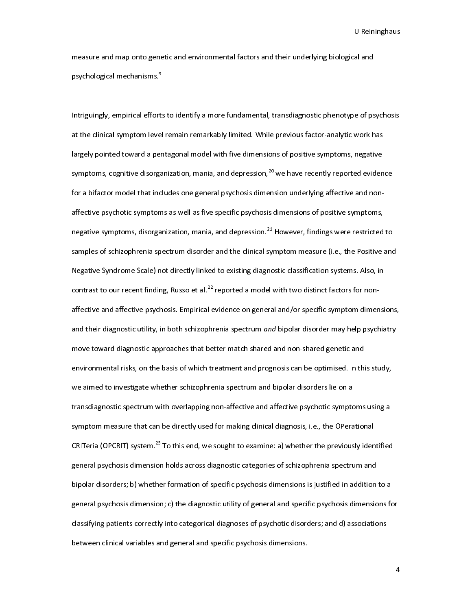u B<br>al and<br>and nevebosis

measure and mapp since generic and entiremmental factors and master, ingeredigent and<br>psychological mechanisms.<sup>9</sup><br>at the clinical symptom level remain remarkably limited. While previous factor-analytic work h psychological mechanisms."<br>Intriguingly, empirical effort:<br>at the clinical symptom leve<br>largely pointed toward a per |<br>|<br>|<br>| Intriguingly, empirical effortable continuity a more continuities, cominally precise precisely  $p$  is the yerocity<br>at the clinical symptom level remain remarkably limited. While previous factor-analytic work has<br>largely po at the clinical symptom as a pentagonal model with five dimensions of positive symptoms, negative<br>symptoms, cognitive disorganization, mania, and depression,<sup>20</sup> we have recently reported eviden<br>for a bifactor model that i symptoms, cognitive disorganization, mania, and depression,<sup>20</sup> we have recently reported eviden<br>for a bifactor model that includes one general psychosis dimension underlying affective and non-<br>affective psychotic symptom symptoms, cognitive disorganization, mania, and depression,<sup>20</sup> we have recently reported evidence<br>for a bifactor model that includes one general psychosis dimension underlying affective and non-<br>affective psychotic sympto Negative Syndrome Scale) not directly linked to existing diagnostic classification systems. Also, in regative symptoms, disorganization, mania, and depression.<sup>21</sup> However, findings were restricted<br>samples of schizophrenia spectrum disorder and the clinical symptom measure (i.e., the Positive<br>Negative Syndrome Scale) not negative symptoms, disorganization, mania, and depression.<sup>21</sup> However, findings were restricted to<br>samples of schizophrenia spectrum disorder and the clinical symptom measure (i.e., the Positive and<br>Negative Syndrome Scal samples of schizophrenia spectrum and the including proportion such the clinical systems. Also, in<br>Negative Syndrome Scale) not directly linked to existing diagnostic classification systems. Also, in<br>contrast to our recent Negative Syndrom Contrast to our recent finding, Russo et al.<sup>22</sup> reported a model with two distinct factors for non-<br>affective and affective psychosis. Empirical evidence on general and/or specific symptom dimensional the contrast to our recent finding, Russo et al.<sup>22</sup> reported a model with two distinct factors for non-<br>affective and affective psychosis. Empirical evidence on general and/or specific symptom dimer<br>and their diagnostic utili and their diagnostic utility, in both schizophrenia spectrum *and* bipolar disorder may help psychiatry<br>move toward diagnostic approaches that better match shared and non-shared genetic and<br>environmental risks, on the basi and their diagnostic drinty, in both schizophrenia spectrum and bipolar disorder may help psychiatry<br>move toward diagnostic approaches that better match shared and non-shared genetic and<br>environmental risks, on the basis o move to match angulation approaches that better match shared and text shared genericant<br>environmental risks, on the basis of which treatment and prognosis can be optimised. In thi<br>we aimed to investigate whether schizophre environmental risks, on a transdiagnostic spectrum with overlapping non-affective and affective psychotic symptoms using a<br>transdiagnostic spectrum with overlapping non-affective and affective psychotic symptoms using a<br>sy transdiagnostic spectrum with overlapping non-affective and affective psychotic sympto<br>symptom measure that can be directly used for making clinical diagnosis, i.e., the OPera<br>CRITeria (OPCRIT) system.<sup>23</sup> To this end, we symptom measure that can be directly used for making clinical diagnosis, i.e., the OPerational<br>CRITeria (OPCRIT) system.<sup>23</sup> To this end, we sought to examine: a) whether the previously identified<br>general psychosis dimensi symptom measure that can be directly used for making clinical inggivenymal, and a condensation<br>CRITeria (OPCRIT) system.<sup>23</sup> To this end, we sought to examine: a) whether the previously iden<br>general psychosis dimension hol CRITeria (OPCRIT) system.<sup>25</sup> To this end, we sought to examine: a) whether the previously identified<br>general psychosis dimension holds across diagnostic categories of schizophrenia spectrum and<br>bipolar disorders; b) wheth general psychosis dimension of specific psychosis dimensions is justified in addition<br>general psychosis dimension; c) the diagnostic utility of general and specific psychosis dimensio<br>classifying patients correctly into ca beheved by the disorders; b) whether formation of specific psycholar and specific psychosis dimensions for classifying patients correctly into categorical diagnoses of psychotic disorders; and d) associations between clini general psychological membersion; c) the diagnoses of psychotic disorders; and d) associations<br>classifying patients correctly into categorical diagnoses of psychotic disorders; and d) associations<br>between clinical variable between clinical variables and general and specific psychosis dimensions.<br>
Social disorders; and disorders; and dispecific psychosis dimensions; and dispersions; and dispersions; and dispersions; and dispersions; and dispe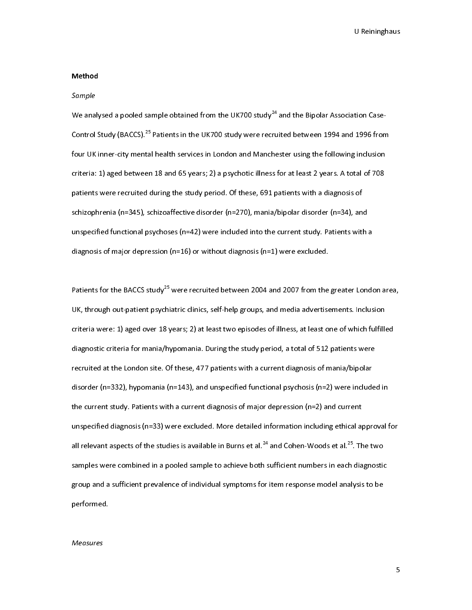# Method

# Sample

 $\frac{1}{2}$ ا<br>ا<br>ا We analysed a pooled sample obtained from the UK700 study<sup>24</sup> and the Bipolar Association Case-<br>Control Study (BACCS).<sup>25</sup> Patients in the UK700 study were recruited between 1994 and 1996 fron<br>four UK inner-city mental hea Control Study (BACCS).<sup>25</sup> Patients in the UK700 study were recruited between 1994 and 1996 from<br>four UK inner-city mental health services in London and Manchester using the following inclusion<br>criteria: 1) aged between 18 four UK inner-city mental health services in London and Manchester using the following inclusion<br>criteria: 1) aged between 18 and 65 years; 2) a psychotic illness for at least 2 years. A total of 708<br>patients were recruite patients were recruited during the study period. Of these, 691 patients with a diagnosis of<br>schizophrenia (n=345), schizoaffective disorder (n=270), mania/bipolar disorder (n=34), and<br>unspecified functional psychoses (n=42 patients were recruited during the study period. Of these, 691 patients with a diagnosis (n=34), and<br>schizophrenia (n=345), schizoaffective disorder (n=270), mania/bipolar disorder (n=34), and<br>unspecified functional psycho since principle disorder increases (n=42) were included into the current study. Patients with a<br>diagnosis of major depression (n=16) or without diagnosis (n=1) were excluded.<br>Patients for the BACCS study<sup>25</sup> were recruite

diagnosis of major depression (n=16) or without diagnosis (n=1) were excluded.<br>Patients for the BACCS study<sup>25</sup> were recruited between 2004 and 2007 from the greater Londo<br>UK, through out-patient psychiatric clinics, self Patients for the BACCS study<sup>25</sup> were recruited between 2004 and 2007 from the<br>UK, through out-patient psychiatric clinics, self-help groups, and media advertise<br>criteria were: 1) aged over 18 years; 2) at least two episod ו<br>ו<br>ג Patients for the BACCS study<sup>25</sup> were recruited between 2004 and 2007 from the greater London area,<br>UK, through out-patient psychiatric clinics, self-help groups, and media advertisements. Inclusion<br>criteria were: 1) aged UK, through out-patient psychiatric clinics) out-trop groups, and means with an entromentation<br>Criteria were: 1) aged over 18 years; 2) at least two episodes of illness, at least one of which fulfille<br>diagnostic criteria f diagnostic criteria for mania/hypomania. During the study period, a total of 512 patients were<br>recruited at the London site. Of these, 477 patients with a current diagnosis of mania/bipolar<br>disorder (n=332), hypomania (n=1 diagnostic criteria for mania, my periteria forming the study period, a total of study periodic recruited at the London site. Of these, 477 patients with a current diagnosis of mania/bipolar disorder (n=332), hypomania (n= disorder (n=332), hypomania (n=143), and unspecified functional psychosis (n=2) were include<br>the current study. Patients with a current diagnosis of major depression (n=2) and current<br>unspecified diagnosis (n=33) were exc the current study. Patients with a current diagnosis of major depression (n=2) and current<br>unspecified diagnosis (n=33) were excluded. More detailed information including ethical approval f<br>all relevant aspects of the stu unspecified diagnosis (n=33) were excluded. More detailed information including ethical a<br>all relevant aspects of the studies is available in Burns et al.<sup>24</sup> and Cohen-Woods et al.<sup>25</sup>. Th<br>samples were combined in a pool all relevant aspects of the studies is available in Burns et al.<sup>24</sup> and Cohen-Woods et al.<sup>25</sup>. The two<br>samples were combined in a pooled sample to achieve both sufficient numbers in each diagnostic<br>group and a sufficient all relevant aspects of the studies is available in Burns et al.<sup>24</sup> and Cohen-Woods et al.<sup>25</sup>. The two<br>samples were combined in a pooled sample to achieve both sufficient numbers in each diagnostic<br>group and a sufficient samples were committed in a poole compile to achieve both sufficient numbers in each diagnostic<br>group and a sufficient prevalence of individual symptoms for item response model analysis to be<br>performed.<br>Measures group and a summary prevalence of individual symptoms for item response model analysis to be<br>performed.<br>Measures

# performed.<br>Measures  $\frac{1}{2}$ Measures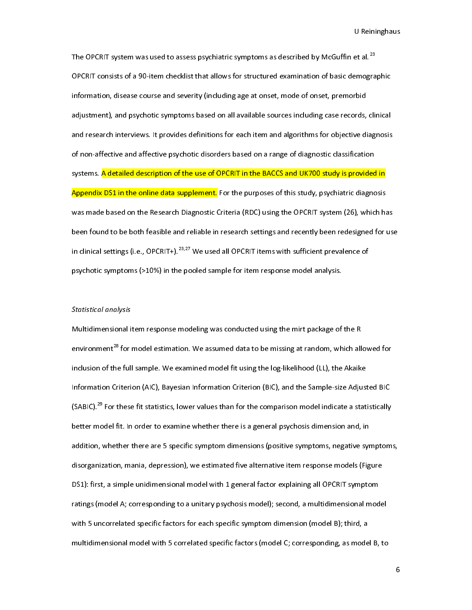$\begin{aligned} \text{et al.}^{\text{23}} \end{aligned}$ <br>emographic<br>rbid The OPCRIT system was used to assess psychiatric symptoms as described by McGuffin et al.<sup>23</sup><br>OPCRIT consists of a 90-item checklist that allows for structured examination of basic demogra<br>information, disease course and s information, disease course and severity (including age at onset, mode of onset, premorbid<br>adjustment), and psychotic symptoms based on all available sources including case records, clinical<br>and research interviews. It pro adjustment), and psychotic symptoms based on all available sources including case records,<br>and research interviews. It provides definitions for each item and algorithms for objective di<br>of non-affective and affective psych and research interviews. It provides definitions for each item and algorithms for objective diagnosis<br>of non-affective and affective psychotic disorders based on a range of diagnostic classification<br>systems. <mark>A detailed de</mark> and research interviews of provide definitions for each idea and algorithms for eaglication<br>of non-affective and affective psychotic disorders based on a range of diagnostic classification<br>systems. <mark>A detailed description </mark> systems. <mark>A detailed description of the use of OPCRIT in the BACCS and UK700 study is provided</mark><br>Appendix DS1 in the online data supplement. For the purposes of this study, psychiatric diagno<br>was made based on the Research systems. The state of the use of the use of this study, psychiatric diagnosis<br>Appendix DS1 in the online data supplement. For the purposes of this study, psychiatric diagnosis<br>was made based on the Research Diagnostic Crit Was made based on the Research Diagnostic Criteria (RDC) using the OPCRIT system (26), which has<br>been found to be both feasible and reliable in research settings and recently been redesigned for the purpose of this clinica been found to be both feasible and reliable in research settings and recently been redesigned for usin clinical settings (i.e., OPCRIT+).<sup>23,27</sup> We used all OPCRIT items with sufficient prevalence of psychotic symptoms (>1 in clinical settings (i.e., OPCRIT+).<sup>23,27</sup> We used all OPCRIT items with sufficient prevalence of<br>psychotic symptoms (>10%) in the pooled sample for item response model analysis.<br>Statistical analysis in clinical settings (i.e., OPCRIT+).<sup>25,27</sup> We used all OPCRIT items with sufficient prevalence of<br>psychotic symptoms (>10%) in the pooled sample for item response model analysis.<br>Statistical analysis<br>Multidimensional ite

# Statistical analysis

psychotic symptoms (>10%) in the pooled sample for item response model analysis.<br>
Statistical analysis<br>
Multidimensional item response modeling was conducted using the mirt package of the R<br>
environment<sup>28</sup> for model estim  $\frac{3}{5}$ environment<sup>28</sup> for model estimation. We assumed data to be missing at random, which all<br>inclusion of the full sample. We examined model fit using the log-likelihood (LL), the Akaik<br>Information Criterion (AIC), Bayesian In environment<sup>26</sup> for model estimation. We assumed data to be missing at random, which allowed for<br>inclusion of the full sample. We examined model fit using the log-likelihood (LL), the Akaike<br>Information Criterion (AIC), Ba Information Criterion (AIC), Bayesian Information Criterion (BIC), and the Sample-size Adjust<br>(SABIC).<sup>29</sup> For these fit statistics, lower values than for the comparison model indicate a stat<br>better model fit. In order to (SABIC).<sup>29</sup> For these fit statistics, lower values than for the comparison model indicate a statistically<br>better model fit. In order to examine whether there is a general psychosis dimension and, in<br>addition, whether the (SABIC).<sup>29</sup> For these fit statistics, lower values than for the comparison model indicate a statistically<br>better model fit. In order to examine whether there is a general psychosis dimension and, in<br>addition, whether ther better model fit. In order to examine there is a general psychological antism and, in<br>addition, whether there are 5 specific symptom dimensions (positive symptoms, negative syr<br>disorganization, mania, depression), we estim disorganization, mania, depression), we estimated five alternative item response models (Figure<br>DS1): first, a simple unidimensional model with 1 general factor explaining all OPCRIT symptom<br>ratings (model A; corresponding disorganization, manning repression, measuranted five alternative item response model (Figure<br>DS1): first, a simple unidimensional model with 1 general factor explaining all OPCRIT symptom<br>ratings (model A; corresponding t Propertings (model A; corresponding to a unitary psychosis model); second, a multidimensional model with 5 uncorrelated specific factors for each specific symptom dimension (model B); third, a multidimensional model with 5 with 5 uncorrelated specific factors for each specific symptom dimension (model B); third, a<br>multidimensional model with 5 correlated specific factors (model C; corresponding, as model B, to<br>multidimensional model with 5 c white the symptom of the symptom of the symptom of the symptom of the symptom of the symptom of the symptom of the symptom of the symptom of the symptom of the symptom of the symptom of the symptom of the symptom of the sy

6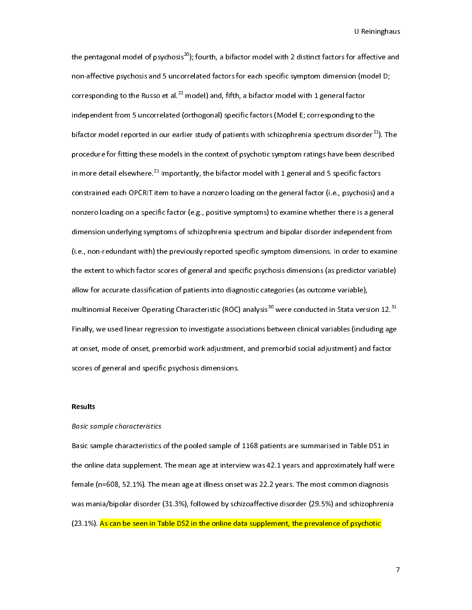U Reininghaus<br>the pentagonal model of psychosis<sup>20</sup>); fourth, a bifactor model with 2 distinct factors for affective and<br>non-affective psychosis and 5 uncorrelated factors for each specific symptom dimension (model D;<br>corr the pentagonal model of psychosis<sup>20</sup>); fourth, a bifactor model with 2 distinct factors for affective and<br>non-affective psychosis and 5 uncorrelated factors for each specific symptom dimension (model D;<br>corresponding to t corresponding to the Russo et al.<sup>22</sup> model) and, fifth, a bifactor model with 1 general factor<br>independent from 5 uncorrelated (orthogonal) specific factors (Model E; corresponding to the<br>bifactor model reported in our e corresponding to the Russo et al.<sup>22</sup> model) and, fifth, a bifactor model with 1 general factor<br>independent from 5 uncorrelated (orthogonal) specific factors (Model E; corresponding to t<br>bifactor model reported in our earl independent from 5 uncorrelated (entropond) specific factor (i.e.s. e) extreme disorder<sup>22</sup><br>procedure for fitting these models in the context of psychotic symptom ratings have been desc<br>in more detail elsewhere.<sup>21</sup> Import bifactor model reported in our earlier study of patients with schizophrenia spectrum disorder<sup>21</sup>). The procedure for fitting these models in the context of psychotic symptom ratings have been described in more detail els procedure for fitting these models in the context of psychotic symptom ratings have been described<br>in more detail elsewhere.<sup>21</sup> Importantly, the bifactor model with 1 general and 5 specific factors<br>constrained each OPCRIT in more detail elsewhere.<sup>21</sup> Importantly, the bifactor model with 1 general and 5 specific factors<br>constrained each OPCRIT item to have a nonzero loading on the general factor (i.e., psychosis) ar<br>nonzero loading on a spe constant to take OPCRIT item to the state of the general operator (i.e., p.e.) in the monzero loading on a specific factor (e.g., positive symptoms) to examine whether there is a general dimension underlying symptoms of sc dimension underlying symptoms of schizophrenia spectrum and bipolar disorder independent from<br>(i.e., non-redundant with) the previously reported specific symptom dimensions. In order to examine<br>the extent to which factor s (i.e., non-redundant with) the previously reported specific symptom dimensions. In order to examin<br>the extent to which factor scores of general and specific psychosis dimensions (as predictor variable<br>allow for accurate c (i.e., non-redundant with) the previously reported previously reported specific and simulated the extent to which factor scores of general and specific psychosis dimensions (as predictor variable)<br>allow for accurate classi allow for accurate classification of patients into diagnostic categories (as outcome variable),<br>multinomial Receiver Operating Characteristic (ROC) analysis <sup>30</sup> were conducted in Stata version 12.<sup>31</sup><br>Finally, we used lin multinomial Receiver Operating Characteristic (ROC) analysis<sup>30</sup> were conducted in Stata versi<br>Finally, we used linear regression to investigate associations between clinical variables (inclu<br>at onset, mode of onset, premo multinomial Receiver Operating Characteristic (ROC) analysis<sup>30</sup> were conducted in Stata version 12.<sup>34</sup><br>Finally, we used linear regression to investigate associations between clinical variables (including age<br>at onset, mo Final and specific psychosis dimensions.<br>Scores of general and specific psychosis dimensions.<br>Results at ones, mode of onset, premotion administration and premoting material adjustment, and factor<br>scores of general and specific psychosis dimensions.<br>Basic sample characteristics

# Results

esults<br>Basic sample characteristics<br>Basic sample characteristics of the pooled sample of l<br>L<br>L Basic sample characteristics<br>Basic sample characteristics<br>the online data supplement.<br>female (n=608, 52.1%). The r<br>was mania/bipolar disorder ( the online data supplement. The mean age at interview was 42.1 years and approximately half wer<br>female (n=608, 52.1%). The mean age at illness onset was 22.2 years. The most common diagnosis<br>was mania/bipolar disorder (31. the online and supplement. The mean age at illness onset was 22.2 years. The most common diagnosis<br>female (n=608, 52.1%). The mean age at illness onset was 22.2 years. The most common diagnosis<br>was mania/bipolar disorder ( Female (n=609, 52.1%). The mean age at innite enter most component was mania/bipolar disorder (31.3%), followed by schizoaffective disorder (29.5%) and schizophreni<br>(23.1%). <mark>As can be seen in Table DS2 in the online data </mark> was manis<sub>/bip</sub>onar discrease (31.4%), followed by schild burstine disorder (20.4%) and schizophrenia<br>(23.1%). <mark>As can be seen in Table DS2 in the online data supplement, the prevalence of psychotic</mark><br>——————————————————————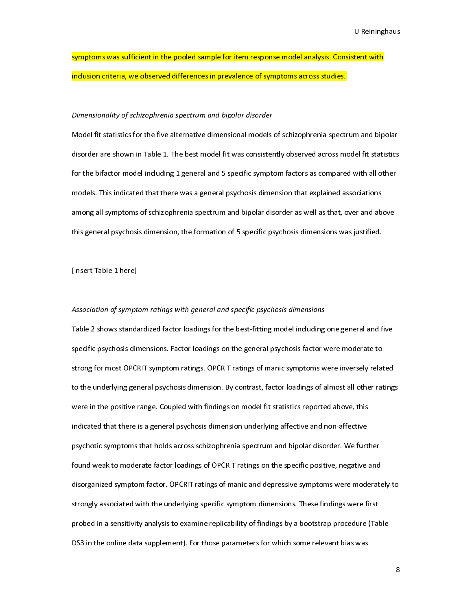# U Reiningham<br>Union<br>Line States symptoms was sumptum in the poole sample for the response model in the seminary interestingular in the poole i<br>inclusion criteria, we observed differences in prevalence of symptoms across studies.<br>Dimensionality of schizop

# Dimensionality of schizophrenia spectrum and bipolar disorder

inclusion crites of schizophrenia spectrum and bipolar disorder<br>Model fit statistics for the five alternative dimensional models of schizophrenia spectr<br>disorder are shown in Table 1. The best model fit was consistently o l<br>I<br>f Model fit statistics for the bifactor model including 1 general and 5 specific symptom factors as compared with all other<br>for the bifactor model including 1 general and 5 specific symptom factors as compared with all other for the bifactor model including 1 general and 5 specific symptom factors as compared with all other<br>models. This indicated that there was a general psychosis dimension that explained associations<br>among all symptoms of sch for the bifactor models. This indicated that there was a general psychosis dimension that explained associations<br>among all symptoms of schizophrenia spectrum and bipolar disorder as well as that, over and above<br>this genera mong all symptoms of schizophrenia spectrum and bipolar disorder as well as that, over and abthis general psychosis dimension, the formation of 5 specific psychosis dimensions was justified.<br>[Insert Table 1 here] and symptoms of sumseparative spectrum and appendence as that as that, over an above that, and above that, and<br>this general psychosis dimension, the formation of 5 specific psychosis dimensions was justified.<br>[Insert Table

# this general psychological psychosis dimensions.<br>Insert Table 1 here<br>Association of symptom ratings with general and specific psychosis dimensions

 $\begin{array}{c} \n\frac{1}{2} & \frac{1}{2} \\ \n\frac{1}{2} & \frac{1}{2} \\ \n\frac{1}{2} & \frac{1}{2} \\ \n\frac{1}{2} & \frac{1}{2} \\ \n\frac{1}{2} & \frac{1}{2} \\ \n\frac{1}{2} & \frac{1}{2} \\ \n\frac{1}{2} & \frac{1}{2} \\ \n\frac{1}{2} & \frac{1}{2} \\ \n\frac{1}{2} & \frac{1}{2} \\ \n\frac{1}{2} & \frac{1}{2} \\ \n\frac{1}{2} & \frac{1}{2} \\ \n\frac{1}{2} & \frac{1}{$ .<br>Association of sympt<br>Table 2 shows standa<br>specific psychosis din  $\frac{1}{2}$ Association of symptom ratings with general and specific psychosis amensions<br>Table 2 shows standardized factor loadings for the best-fitting model including<br>specific psychosis dimensions. Factor loadings on the general psy specific psychosis dimensions. Factor loadings on the general psychosis factor were moderate to<br>strong for most OPCRIT symptom ratings. OPCRIT ratings of manic symptoms were inversely related<br>to the underlying general psyc strong for most OPCRIT symptom ratings. OPCRIT ratings of manic symptoms were inversely relat<br>to the underlying general psychosis dimension. By contrast, factor loadings of almost all other rat<br>were in the positive range. strong the underlying general psychosis dimension. By contrast, factor loadings of almost all other rating<br>were in the positive range. Coupled with findings on model fit statistics reported above, this<br>indicated that there to the underlying some model fit statistics reported above, this<br>indicated that there is a general psychosis dimension underlying affective and non-affective<br>psychotic symptoms that holds across schizophrenia spectrum and indicated that there is a general psychosis dimension underlying affective and non-affective<br>psychotic symptoms that holds across schizophrenia spectrum and bipolar disorder. We furth<br>found weak to moderate factor loadings indicated that there is a general psychological that there is positive and hipolar disorder. We furt<br>psychotic symptoms that holds across schizophrenia spectrum and bipolar disorder. We furt<br>found weak to moderate factor l psychology of the specific positive, negative and<br>found weak to moderate factor loadings of OPCRIT ratings on the specific positive, negative and<br>disorganized symptom factor. OPCRIT ratings of manic and depressive symptoms found weaker measure factor loadings of the sink range on the specific positive positive and<br>disorganized symptom factor. OPCRIT ratings of manic and depressive symptoms were moderate<br>strongly associated with the underlyin disorganized symptom factor. One and displays the manipulation of manipulation symptom depression is the strongly associated with the underlying specific symptom dimensions. These findings were first<br>probed in a sensitivit strongly associated with the underlying specific symptom annual therm inter mange in the unit<br>probed in a sensitivity analysis to examine replicability of findings by a bootstrap procedure (Tal<br>DS3 in the online data suppl probed in the online data supplement). For those parameters for which some relevant bias was<br>DS3 in the online data supplement). For those parameters for which some relevant bias was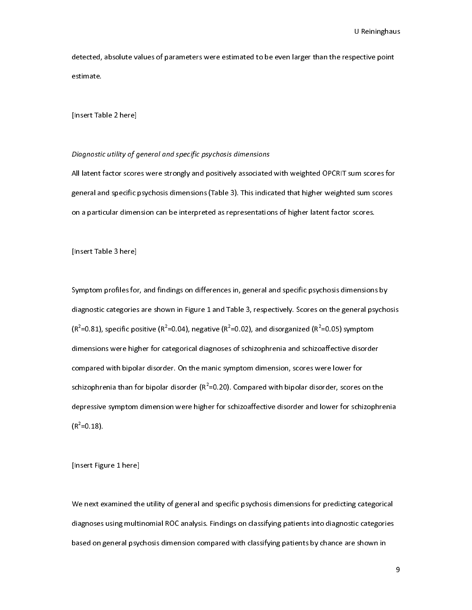U Rective point detective, absolute values of parameters were extended to be even larger than the respective point<br>estimate.<br>[Insert Table 2 here]

# [Insert Tal<br><br>Diagnostic Diagnostic utility of general and specific psychosis dimensions

 $\frac{1}{2}$  $Diagnosti \hbox{ } utility \hbox{ } of \hbox{ } g$ All latent factor score<br>general and specific l |<br>|}<br>|} All latent factor scores were strongly and positively according to the UK can be the UK correspondent and specific psychosis dimensions (Table 3). This indicated that higher weighted sum scores on a particular dimension ca general and specific psychosis dimensions (Table 3). This indicated that higher weighted sum scores<br>on a particular dimension can be interpreted as representations of higher latent factor scores.<br>[Insert Table 3 here]

Insert Table 3 here]<br>[Insert Table 3 here]<br>Symptom profiles for, and findings on differences in, general and specific psychosis dimensions  $\frac{1}{2}$  $[Suppose the result is not specified by the result is not specified by the result. The result is not a more generalization of the result is not provided in the text. The result is not a more generalization of the result is not a more generalization of the result. The result is not a more generalization of the result is not a more generalization of the result. The result is not a more generalization of the result is not a more generalization of the result. The result is not a more generalization of the result is not a more generalization of the result. The result is not a more generalization of the result is not a more generalization of the result. The result is not a more generalization of the result is not a more generalization of the result. The result is not a more generalization of the result is not a more generalization of the result. The result is not a more generalization of the result is not a more generalization of the result. The result is not a more generalization of the result is not a more general$ ؟<br>)<br>) diagnostic categories are shown in Figure 1 and Table 3, respectively. Scores on the general psycho<br>( $R^2$ =0.81), specific positive ( $R^2$ =0.04), negative ( $R^2$ =0.02), and disorganized ( $R^2$ =0.05) symptom<br>dimensions wer  $(R^2=0.81)$ , specific positive  $(R^2=0.04)$ , negative  $(R^2=0.02)$ , and disorganized  $(R^2=0.05)$  symptom<br>dimensions were higher for categorical diagnoses of schizophrenia and schizoaffective disorder<br>compared with bipolar d  $\frac{1}{2}$ <br>din<br>cor<br>sch<br>de<sub>l</sub> =0.81), specific positive (R<sup>2</sup><br>nensions were higher for ca<br>mpared with bipolar disord<br>izophrenia than for bipolar<br>pressive symptom dimensic =0.04), negative (R<sup>2</sup><br>stegorical diagnoses<br>er. On the manic sy<br>disorder (R<sup>2</sup>=0.20).<br>on were higher for s =0.02), and disorganized (R<sup>2</sup>)<br>of schizophrenia and schizo:<br>mptom dimension, scores w<br>Compared with bipolar disc<br>chizoaffective disorder and l affective disorde<br>ere lower for<br>order, scores on t<br>ower for schizop compared with bipolar disorder. On the manic symptom dimension, scores were lower for<br>schizophrenia than for bipolar disorder ( $R^2$ =0.20). Compared with bipolar disorder, scores on the<br>depressive symptom dimension were h schizophrenia than for bipolar disorder (R<sup>2</sup>=0.20). Compared with bipolar disorder, scores of depressive symptom dimension were higher for schizoaffective disorder and lower for schi<br>(R<sup>2</sup>=0.18). schizophrenia than for bipolar disorder (R<sup>2</sup><br>depressive symptom dimension were high<br>(R<sup>2</sup>=0.18).<br>[Insert Figure 1 here] er for schizoaffective disorder and lower for schizophre<br>
er for schizoaffective disorder and lower for schizophre  $(R<sup>2</sup>=0.18)$ .<br>[Insert Figure 1 here]

(R<sup>2</sup><br>[In:<br>W sert Figu<br>sert Figu<br>enext ex  $\frac{1}{2}$ Finsert Figure 2 here]<br>We next examined th<br>diagnoses using multi<br>based on general psyc \<br>|<br>| Mexico and annual and specific process the utility of general and specific process diagnoses using multinomial ROC analysis. Findings on classifying patients into diagnostic categories based on general psychosis dimension diagnoses using multiposes using multiplomial Rock and Rock and Rock and Rock and Rock and Rock and Rock and Rock and Rock and Rock and Rock and Rock and Rock and Rock and Rock and Rock and Rock and Rock and Rock and Rock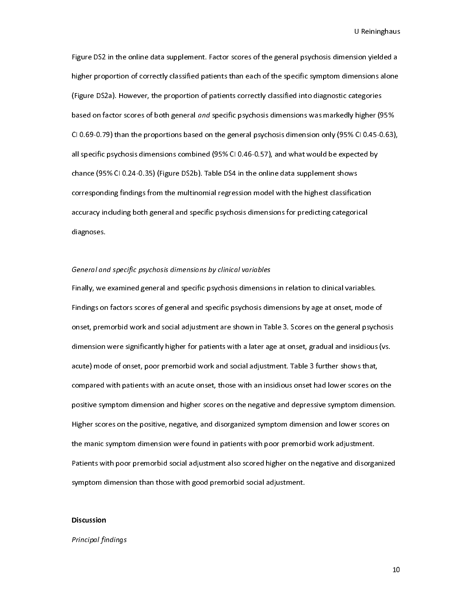sion yielded a<br>ensions alone<br>ategories<br>higher (95% Figure DS2a). However, the proportion of patients than each of the specific symptom dimensions alone<br>(Figure DS2a). However, the proportion of patients correctly classified into diagnostic categories<br>based on factor scores (Figure DS2a). However, the proportion of patients correctly classified into diagnostic categories<br>based on factor scores of both general *and* specific psychosis dimensions was markedly higher (95%<br>Cl 0.69-0.79) than the (Figure 2012). However, the proportions and specific psychosis dimensions was markedly higher (9<br>2010.69-0.79) than the proportions based on the general psychosis dimension only (95% Cl0.45-0<br>2011 specific psychosis dimens Based on factor scores of both general and specific psychosis dimensions was markedly higher (55%<br>Cl 0.69-0.79) than the proportions based on the general psychosis dimension only (95% Cl 0.45-0.63)<br>all specific psychosis d CI 0.169-0.169, MARCINE PROPORTION BASED ON BY STATISTIC MULTIMATE ON THE GIVEN ONE IT<br>all specific psychosis dimensions combined (95% CI 0.46-0.57), and what would be expected by<br>chance (95% CI 0.24-0.35) (Figure DS2b). T chance (95% CI 0.24-0.35) (Figure DS2b). Table DS4 in the online data supplement shows<br>corresponding findings from the multinomial regression model with the highest classification<br>accuracy including both general and specif corresponding findings from the multinomial regression model with the highest classificated accuracy including both general and specific psychosis dimensions for predicting categorializations. corresponding maings from the multinomial regression model intrinomial regression accuracy including both general and specific psychosis dimensions for predicting categorical<br>diagnoses.<br>General and specific psychosis dimen diagnoses.<br>General and specific psychosis dimensions by clinical variables<br>Finally, we examined general and specific psychosis dimensions in relation to clinical variable

# General and specific psychosis dimensions by clinical variables

General an<br>General an<br>Findings on (<br>|<br>|<br>| Findings on factors scores of general and specific psychosis dimensions by age at onset, mode conset, premorbid work and social adjustment are shown in Table 3. Scores on the general psycl<br>dimension were significantly high Fig. 1998.<br>The second of the second the general psycholometers on the general psychodimension were significantly higher for patients with a later age at onset, gradual and insidious (vacute) mode of onset, poor premorbid w onset, premorbid work and social adjustment are speaked entirely and insidious (vs.<br>acute) mode of onset, poor premorbid work and social adjustment. Table 3 further shows that,<br>compared with patients with an acute onset, t acute) mode of onset, poor premorbid work and social adjustment. Table 3 further shows that,<br>compared with patients with an acute onset, those with an insidious onset had lower scores on the<br>positive symptom dimension and compared with patients with an acute onset, those with an insidious onset had lower scores on<br>positive symptom dimension and higher scores on the negative and depressive symptom dimen<br>Higher scores on the positive, negativ positive symptom dimension and higher scores on the negative and depressive symptom dimension<br>Higher scores on the positive, negative, and disorganized symptom dimension and lower scores on<br>the manic symptom dimension were positive symptom dimension were found in patients with poor premorbid work adjustment.<br>The manic symptom dimension were found in patients with poor premorbid work adjustment.<br>Patients with poor premorbid social adjustment Higher scores on the positive, negative, and displaced symptom dimension and look adjustment.<br>The manic symptom dimension were found in patients with poor premorbid work adjustment.<br>Patients with poor premorbid social adju Patients with poor premorbid social adjustment also scored higher on the negative and disorga<br>symptom dimension than those with good premorbid social adjustment.<br>Discussion Patients with the new symptom dimension than those with good premorbid social adjustment.<br>Discussion<br>Principal findings symptom dimension than the stam good premorbid social adjustment.<br>Discussion<br>Principal findings

# $\frac{1}{2}$ Discussion

## Principal findings

10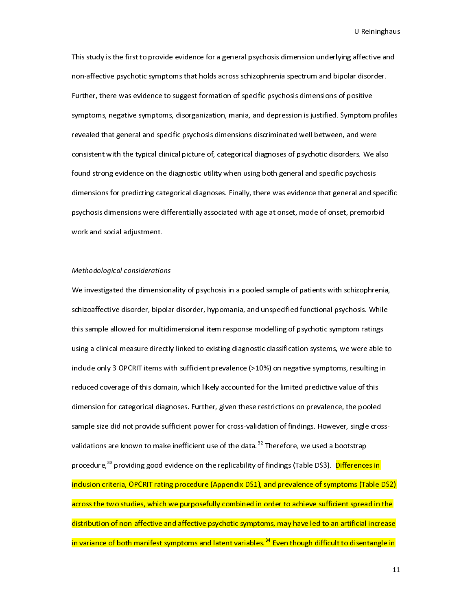affective and<br>r disorder.<br>sitive The first to provide evidence for a general psychological emitted emits, nog allowed also<br>non-affective psychotic symptoms that holds across schizophrenia spectrum and bipolar disorder.<br>Further, there was evidence to sugge Further, there was evidence to suggest formation of specific psychosis dimensions of positive<br>symptoms, negative symptoms, disorganization, mania, and depression is justified. Symptom profi<br>revealed that general and specif Further, there was even providents, and there signified. Symptom prevealed that general and specific psychosis dimensions discriminated well between, and were consistent with the typical clinical picture of, categorical di symptoms, negative symptoms, anongamization, mania, and appleud in symptoms symptom promin-<br>revealed that general and specific psychosis dimensions discriminated well between, and were<br>consistent with the typical clinical revealed that general and specific psychology and the typical dimensions of psychotic disorders. We a<br>found strong evidence on the diagnostic utility when using both general and specific psychosis<br>dimensions for predicting found strong evidence on the diagnostic utility when using both general and specific psychosis<br>dimensions for predicting categorical diagnoses. Finally, there was evidence that general and specif<br>psychosis dimensions were for the distribution of the diagnostic utility, the diagnostic utility of the distribution of product dimensions for predicting categorical diagnoses. Finally, there was evidence that general and specific psychosis dimensi dimensions for predicting categorical and gradual diagnoses. Finally, there was evidence that general and predictions<br>psychosis dimensions were differentially associated with age at onset, mode of onset, premorbid<br>work and psychosis dimensions of the sychosis dimensions work and social adjustment.<br>Methodological considerations<br>We investigated the dimensionality of psychosis in a pooled sample of patients with schizophrenia

# Methodological considerations

work and solid and solid<br>that adjusting and some investigated the dimension<br>interprent and solid and solid and solid and solid and solid and solid and solid and solid and solid and solid<br>schizoaffective disorder, bipo |<br>|<br>|<br>| Schizoaffective disorder, bipolar disorder, hypomania, and unspecified functional psychosis. While<br>this sample allowed for multidimensional item response modelling of psychotic symptom ratings<br>using a clinical measure dire state and the state of the multidimensional item response modelling of psychotic symptom ratings<br>using a clinical measure directly linked to existing diagnostic classification systems, we were able to<br>include only 3 OPCRIT this sample are directly linked to existing diagnostic classification systems, we were able<br>include only 3 OPCRIT items with sufficient prevalence (>10%) on negative symptoms, resulting in<br>reduced coverage of this domain, unched and a compart measure directly minimized to existing angularity linked to exist any year and set in the<br>include only 3 OPCRIT items with sufficient prevalence (>10%) on negative symptoms, resulting in<br>reduced covera reduced coverage of this domain, which likely accounted for the limited predictive value of this<br>dimension for categorical diagnoses. Further, given these restrictions on prevalence, the pooled<br>sample size did not provide reduced coverage of this domain, which likely accounted for the limited predictive value of this<br>dimension for categorical diagnoses. Further, given these restrictions on prevalence, the pooled<br>sample size did not provide dimension of findings. However, single cross-sample size did not provide sufficient power for cross-validation of findings. However, single cros<br>validations are known to make inefficient use of the data.<sup>32</sup> Therefore, we across the two studies, which we purposefully combined in order to achieve sufficient spread in the validations are known to make inefficient use of the data.<sup>32</sup> Therefore, we used a bootstrap<br>procedure,<sup>33</sup> providing good evidence on the replicability of findings (Table DS3). <mark>Difference</mark><br>inclusion criteria, OPCRIT rat procedure,<sup>33</sup> providing good evidence on the replicability of findings (Table DS3). <mark>Differences in</mark><br>inclusion criteria, OPCRIT rating procedure (Appendix DS1), and prevalence of symptoms (Table<br>across the two studies, w inclusion criteria, or only then ying procedure (Appendix DC), and procedure (Appendix (Table DDC),<br>across the two studies, which we purposefully combined in order to achieve sufficient spread in the<br>distribution of non-af across the two studies, which we pupped into the two studies of achieves purposes.<br>Acribution of non-affective and affective psychotic symptoms, may have led to an artificial increase<br>in variance of both manifest symptoms in variance of both manifest symptoms and latent variables.<sup>34</sup> Even though difficult to disentangle in<br>1.<br>1. in variance of both manifest symptoms and latent variables.<sup>34</sup> Even though difficult to disentangle in<br>1<br>1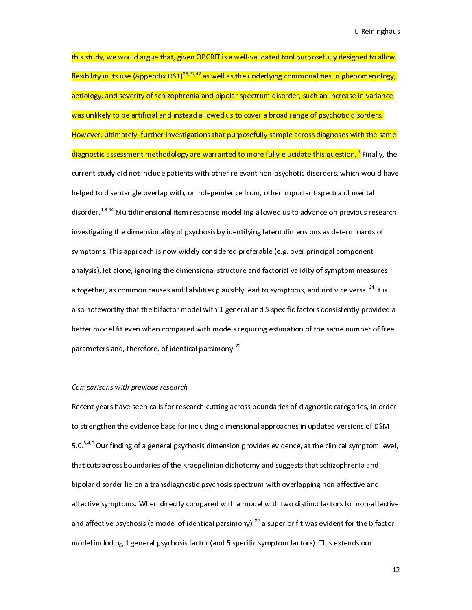U<br>Thed to allow<br><mark>nomenology,</mark><br>Reinivariance<br>Reinivariance this study, and study, this study, given on the that that that the purpose purpose of the study.<br>Flexibility in its use (Appendix DS1)<sup>23,27,42</sup> as well as the underlying commonalities in phenomenology,<br>aetiology, and seve flexibility in its use (Appendix DS1)<sup>29,294</sup> as well as the underlying commonalities in phenomenology,<br>aetiology, and severity of schizophrenia and bipolar spectrum disorder, such an increase in variance<br>was unlikely to b and symbols in the set of several mass unlikely to be artificial and instead allowed us to cover a broad range of psychotic disorders.<br>However, ultimately, further investigations that purposefully sample across diagnoses w was unlikely to be a manimum and instead and instead and instead allow protects in the set<br>However, ultimately, further investigations that purposefully sample across diagnoses with the sa<br>diagnostic assessment methodology diagnostic assessment methodology are warranted to more fully elucidate this question.<sup>3</sup> Finally, the current study did not include patients with other relevant non-psychotic disorders, which would have helped to disentan diagnostic assessment methodology are warranted to more fully elucidate this question."<br>current study did not include patients with other relevant non-psychotic disorders, which<br>helped to disentangle overlap with, or indep Finally<br>
septed that the set of the set of the set of the set of the set of the set of the set of the set of the set of the set of the set of the set of the set of the set of the set of the set of the set of the set of the current study and test study patients with study test there in pays the institute patients in the have the have<br>helped to disentangle overlap with, or independence from, other important spectra of mental<br>disorder.<sup>4,9,34</sup> disorder.<sup>4,9,34</sup> Multidimensional item response modelling allowed us to advance on previous response investigating the dimensionality of psychosis by identifying latent dimensions as determinants symptoms. This approach i disorder.<sup>4,9,34</sup> Multidimensional item response modelling allowed us to advance on previous research<br>investigating the dimensionality of psychosis by identifying latent dimensions as determinants of<br>symptoms. This approac symptoms. This approach is now widely considered preferable (e.g. over principal component<br>analysis), let alone, ignoring the dimensional structure and factorial validity of symptom measure<br>altogether, as common causes an symptoms. This approach is not interestingly considered preferable (e.g. over principal components)<br>analysis), let alone, ignoring the dimensional structure and factorial validity of symptom measural<br>also noteworthy that t altogether, as common causes and liabilities plausibly lead to symptoms, and not vice versa. <sup>34</sup> It is<br>also noteworthy that the bifactor model with 1 general and 5 specific factors consistently provided<br>better model fit e altogether, as common causes and liabilities plausibly lead to symptoms, and not vice versa.  $\tilde{ }$  It is also noteworthy that the bifactor model with 1 general and 5 specific factors consistently provided<br>better model f better model fit even when compared with models requiring estimation of the same number of free<br>parameters and, therefore, of identical parsimony.<sup>22</sup><br>Comparisons with previous research parameters and, therefore, of identical parsimony.<sup>22</sup><br>Comparisons with previous research<br>Recent years have seen calls for research cutting across boundaries of diagnostic categories, in order

parameters and, therefore, of identical parsimony."<br>C*omparisons with previous research*<br>Recent years have seen calls for research cutting acre<br>to strengthen the evidence base for including dimens C<br>F<br>S Recent years have seen calls for rese<br>Recent years have seen calls for rese<br>to strengthen the evidence base for i<br>5.0.<sup>3,4,9</sup> Our finding of a general psych<br>that cuts across boundaries of the Kr rto strengthen the evidence base for including dimensional approaches in updated versions of DSM-<br>5.0.<sup>3.4,9</sup> Our finding of a general psychosis dimension provides evidence, at the clinical symptom level,<br>that cuts across affective symptoms. When directly compared with a model with two distinct factors for non-affective 5.0.3,3,9 Our finding of a general psychosis dimension provides evidence, at the clinical symptom level,<br>that cuts across boundaries of the Kraepelinian dichotomy and suggests that schizophrenia and<br>bipolar disorder lie on that cuts across boundaries of the Kraepelinian acrossing plane is  $\frac{1}{2}$  and selective and affective symptoms. When directly compared with a model with two distinct factors for non-affective symptoms. When directly com affective symptoms. When directly compared with a model with two distinct factors for non-affective psychosis (a model of identical parsimony),<sup>22</sup> a superior fit was evident for the bifation and affective psychosis (a mod and affective psychosis (a model of identical parsimony),<sup>22</sup> a superior fit was evident for the bifactor<br>model including 1 general psychosis factor (and 5 specific symptom factors). This extends our<br>12 and affective psychosis (a model of identical parsimony),  $\tilde{ }$  a superior fit was evident for the bifactor<br>model including 1 general psychosis factor (and 5 specific symptom factors). This extends our<br>1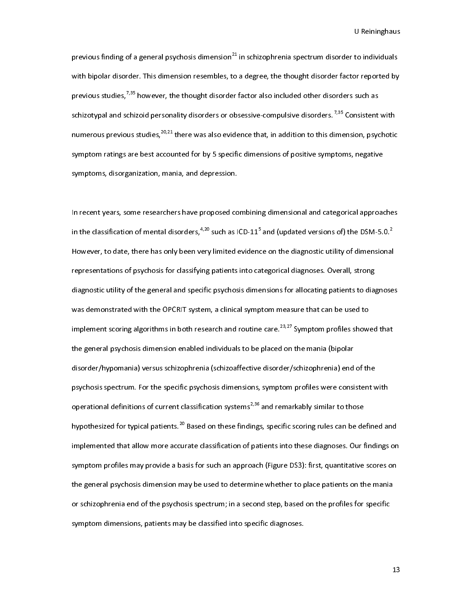to individuals<br>or reported by<br>such as<br>nsistent with previous finding of a general psychosis dimension<sup>21</sup> in schizophrenia spectrum disorder to individuals<br>with bipolar disorder. This dimension resembles, to a degree, the thought disorder factor reported by<br>previous studies previous studies,<sup>7,35</sup> however, the thought disorder factor also included other disorders such as<br>schizotypal and schizoid personality disorders or obsessive-compulsive disorders.<sup>7,35</sup> Consistent with<br>numerous previous previous studies,<sup>7,35</sup> however, the thought disorder factor also included other disorders such as<br>schizotypal and schizoid personality disorders or obsessive-compulsive disorders.<sup>7,35</sup> Consistent<br>numerous previous studie numerous previous studies,<sup>20,21</sup> there was also evidence that, in addition to this dimension, psychotic<br>symptom ratings are best accounted for by 5 specific dimensions of positive symptoms, negative<br>symptoms, disorganizat numerous previous studies,<sup>20,22</sup> there was also evidence that, in addition to this dimension, psychotic<br>symptom ratings are best accounted for by 5 specific dimensions of positive symptoms, negative<br>symptoms, disorganizat

symptoms, disorganization, mania, and depression.<br>In recent years, some researchers have proposed combining dimensional and categorical approad<br>in the classification of mental disorders,<sup>4,20</sup> such as ICD-11<sup>5</sup> and (updat symptoms, and a spanning, maning and depression.<br>In recent years, some researchers have proposed co<br>in the classification of mental disorders,<sup>4,20</sup> such as I<br>However, to date, there has only been very limited l<br>I<br>I In the classification of mental disorders,  $4,20$  such as ICD-11<sup>5</sup> and (updated versions of) the DSM-5.0.<sup>2</sup><br>However, to date, there has only been very limited evidence on the diagnostic utility of dimensional<br>representa in the classification of mental disorders, $7\approx$  such as ICD-11°<br>However, to date, there has only been very limited evidend<br>representations of psychosis for classifying patients into ca<br>diagnostic utility of the general an and (updated versions of) the DSM-5.0.<sup>2</sup><br>ce on the diagnostic utility of dimensiona<br>tegorical diagnoses. Overall, strong<br>ensions for allocating patients to diagnose<br>tom measure that can be used to  $\frac{1}{2}$ However, to date) substitute on the transformation there is any other there is any the diagnostic utility of the general and specific psychosis dimensions for allocating patients to diagnoses.<br>Was demonstrated with the OPC diagnostic utility of the general and specific psychosis dimensions for allocating patients to diag<br>was demonstrated with the OPCRIT system, a clinical symptom measure that can be used to<br>implement scoring algorithms in bo diagnost and the diagnostic utility of the general and specific was demonstrated with the OPCRIT system, a clinical symptom measure that can be used to implement scoring algorithms in both research and routine care.<sup>23,27</sup> was a memonstrated with the OPCRIT, a clinical symptom measure that can be used to<br>implement scoring algorithms in both research and routine care.<sup>23,27</sup> Symptom profiles show:<br>the general psychosis dimension enabled indiv implement scoring algorithms in both research and routine care.<sup>23,27</sup> Symptom profiles showed that<br>the general psychosis dimension enabled individuals to be placed on the mania (bipolar<br>disorder/hypomania) versus schizoph the general psychosis and the state state in the manifestive disorder/schizophrenia) end<br>psychosis spectrum. For the specific psychosis dimensions, symptom profiles were consi<br>operational definitions of current classificat psychosis spectrum. For the specific psychosis dimensions, symptom profiles were consistent v<br>operational definitions of current classification systems<sup>2,36</sup> and remarkably similar to those<br>hypothesized for typical patient operational definitions of current classification systems<sup>2,36</sup> and remarkably similar to those<br>hypothesized for typical patients.<sup>20</sup> Based on these findings, specific scoring rules can be defined and<br>implemented that all operational definitions of current classification systems<sup>203</sup> and remarkably similar to those<br>hypothesized for typical patients.<sup>20</sup> Based on these findings, specific scoring rules can be de<br>implemented that allow more ac hypothesized for typical patients.<sup>20</sup> Based on these findings, specific scoring rules can be defined and<br>implemented that allow more accurate classification of patients into these diagnoses. Our findings on<br>symptom profil implemented that allows the general psychosis dimension may be used to determine whether to place patients on the mania<br>the general psychosis dimension may be used to determine whether to place patients on the mania<br>or sch symptom promisions; dimension may be used to determine whether to place patients on the mania<br>or schizophrenia end of the psychosis spectrum; in a second step, based on the profiles for specific<br>symptom dimensions, patient the general psychosic material may be used to a second step, based on the profiles for specific<br>or schizophrenia end of the psychosis spectrum; in a second step, based on the profiles for specific<br>symptom dimensions, patie symptom dimensions, patients may be classified into specific diagnoses.<br>Symptom dimensions, patients may be classified into specific diagnoses. symptom dimensions, patients may be classified into specific diagnoses.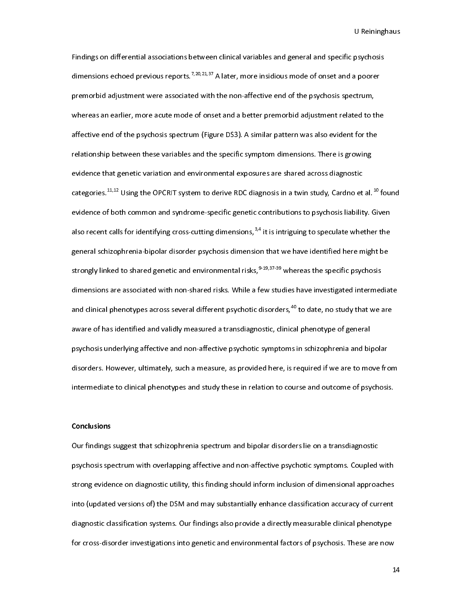psychosis<br>a poorer<br>ctrum,<br>ed to the Findings on differential associations between clinical variables and general and specific psychosis<br>dimensions echoed previous reports.<sup>7,20,21,37</sup> A later, more insidious mode of onset and a poorer<br>premorbid adjustment w dimensions echoed previous reports.<sup>7,20,21,37</sup> A later, more insidious mode of onset and a poorer<br>premorbid adjustment were associated with the non-affective end of the psychosis spectrum,<br>whereas an earlier, more acute m premorbid adjustment related to t<br>whereas an earlier, more acute mode of onset and a better premorbid adjustment related to t<br>affective end of the psychosis spectrum (Figure DS3). A similar pattern was also evident for the affective end of the psychosis spectrum (Figure DS3). A similar pattern was also evident for the<br>relationship between these variables and the specific symptom dimensions. There is growing<br>evidence that genetic variation an relationship between these variables and the specific symptom dimensions. There is growing<br>evidence that genetic variation and environmental exposures are shared across diagnostic<br>categories.<sup>11,12</sup> Using the OPCRIT system evidence that genetic variation and environmental exposures are shared across diagnostic<br>categories.<sup>11,12</sup> Using the OPCRIT system to derive RDC diagnosis in a twin study, Cardno et al.<br>evidence of both common and syndrom categories. $^{11,12}$  Using the OPCRIT system to derive RDC diagnosis in a twin study, Cardno et<br>evidence of both common and syndrome-specific genetic contributions to psychosis liabilit<br>also recent calls for identifying c categories.<sup>11,12</sup> Using the OPCRIT system to derive RDC diagnosis in a twin study, Cardno et al.<sup>25</sup> found<br>evidence of both common and syndrome-specific genetic contributions to psychosis liability. Given<br>also recent call evidence of both common and syndrome-specific genetic contributions to psychosis liability. Given<br>also recent calls for identifying cross-cutting dimensions,<sup>3,4</sup> it is intriguing to speculate whether the<br>general schizophr also recent calls for identifying cross-cutting dimensions, <sup>9,4</sup> it is intriguing to speculate whether the general schizophrenia-bipolar disorder psychosis dimension that we have identified here might be strongly linked t general schizophrenia-lipolar and environmental risks, <sup>9-19, 37-39</sup> whereas the specific psychosis<br>dimensions are associated with non-shared risks. While a few studies have investigated intermedia<br>and clinical phenotypes strongly linked to shared genetic and environmental risks,<sup>9-19,37</sup><sup>39</sup> whereas the specific psychosis<br>dimensions are associated with non-shared risks. While a few studies have investigated intermec<br>and clinical phenotypes and clinical phenotypes across several different psychotic disorders,<sup>40</sup> to date, no study that we are<br>aware of has identified and validly measured a transdiagnostic, clinical phenotype of general<br>psychosis underlying aff and clinical phenotypes across several different psychotic disorders,<sup>40</sup> to date, no study that we are<br>aware of has identified and validly measured a transdiagnostic, clinical phenotype of general<br>psychosis underlying aff psychosis underlying affective and non-affective psychotic symptoms in schizophrenia and bi<sub>l</sub><br>disorders. However, ultimately, such a measure, as provided here, is required if we are to mo<br>intermediate to clinical phenotyp psychosis underlying affective and non-affective psychology in prefile in consequents and bipolar disorders. However, ultimately, such a measure, as provided here, is required if we are to move from intermediate to clinica intermediate to clinical phenotypes and study these in relation to course and outcome of psychosis.<br>Conclusions<br>Our findings suggest that schizophrenia spectrum and bipolar disorders lie on a transdiagnostic

# Conclusions

conclusions<br>Our findings suggest that schizophrenia spectrum and bipolar disorders lie on a transdiagnostic<br>psychosis spectrum with overlapping affective and non-affective psychotic symptoms. Coupled with )<br>}<br>} psychosis spectrum with overlapping affective and non-affective psychotic symptoms. Coupled<br>strong evidence on diagnostic utility, this finding should inform inclusion of dimensional approa<br>into (updated versions of) the D psychology experience and diagnostic utility, this finding should inform inclusion of dimensional approaches<br>into (updated versions of) the DSM and may substantially enhance classification accuracy of current<br>diagnostic cl strong evidence on diagnostic utility, the maning should include it is simulated by approaches a<br>into (updated versions of) the DSM and may substantially enhance classification accuracy of current<br>diagnostic classification diagnostic classification systems. Our findings also provide a directly measurable clinical phenotype<br>for cross-disorder investigations into genetic and environmental factors of psychosis. These are now<br>1 for cross-disorder investigations into genetic and environmental factors of psychosis. These are now<br>for cross-disorder investigations into genetic and environmental factors of psychosis. These are now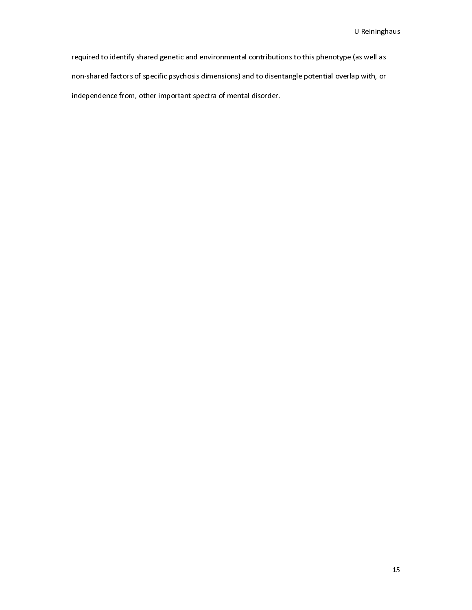(as well as<br>ap with, or required to identify shared genetic and environmental contributions to this phenotype (as well as<br>non-shared factors of specific psychosis dimensions) and to disentangle potential overlap with, or<br>independence from, other independence from, other important spectra of mental disorder.<br>
The contractors of mental overlap with the potential overlap with the contractors of mental disorder. independence from, other important spectra of mental disorder.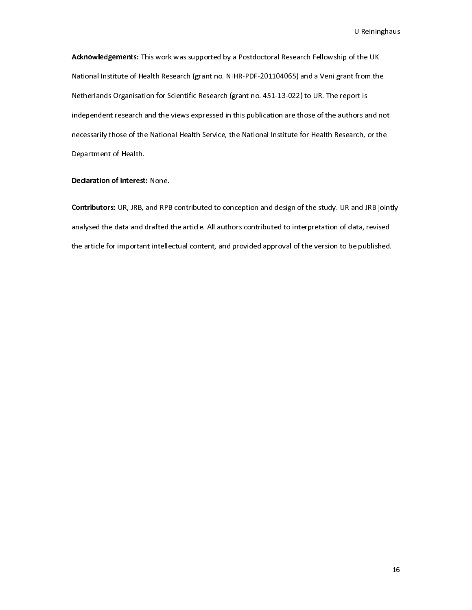f the UK<br>from the<br>ort is Acknowledgements: This work was supported by a Postdoctoral Research Fellowship of the UK<br>National Institute of Health Research (grant no. NIHR-PDF-201104065) and a Veni grant from the<br>Netherlands Organisation for Scientif Netherlands Organisation for Scientific Research (grant no. 451-13-022) to UR. The report is<br>independent research and the views expressed in this publication are those of the authors and no<br>necessarily those of the Nationa Independent research and the views expressed in this publication are those of the authors a<br>necessarily those of the National Health Service, the National Institute for Health Research, of<br>Department of Health. independent research and the views expressed in the publication are these stations and not<br>necessarily those of the National Health Service, the National Institute for Health Research, or the<br>Department of Health.<br>Declarat necessarily three of the National Health Service, the National Institute for Health Mealth Service, the Nation<br>Department of Health.<br>Contributors: UR, JRB, and RPB contributed to conception and design of the study. UR and

Declaration of interest<br>Declaration of interest<br>Contributors: UR, JRB, analysed the data and of **Contributors:** UR, JRB, and RPB<br>**Contributors:** UR, JRB, and RPB<br>analysed the data and drafted t<br>the article for important intelle Examples to the study. On and RPB jointly analysed the data and drafted the article. All authors contributed to interpretation of data, revised the article for important intellectual content, and provided approval of the v the article for important intellectual content, and provided approval of the version to be published.<br>
the article for important intellectual content, and provided approval of the version to be published. the article for important intellectual content, and provided approval of the version to be published.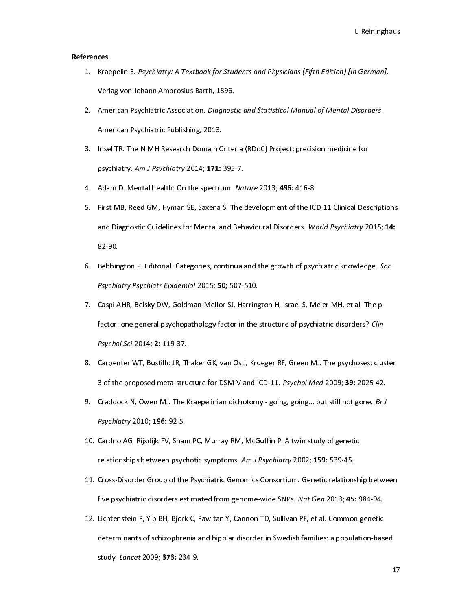# References

- u German].<br>1<br>Disorders.
- 1. Kraepelin E. Psychiatry: A Textbook for Stadents and Physicians (Fifth Edition) [in German].<br>1. Verlag von Johann Ambrosius Barth, 1896.<br>2. American Psychiatric Association. *Diagnostic and Statistical Manual of Mental* American Psychiatric Association. *Diagnost*<br>American Psychiatric Publishing, 2013.<br>Insel TR. The NIMH Research Domain Criter<br>psychiatry. *Am J Psychiatry* 2014; 171: 395-
- 2. American Psychiatric Association. *Diagnostic and Statistical Manual of Mental Disorders.*<br>American Psychiatric Publishing, 2013.<br>3. Insel TR. The NIMH Research Domain Criteria (RDoC) Project: precision medicine for<br>psy American Psychiatric Publishing, 2014<br>Insel TR. The NIMH Research Domain C<br>psychiatry. *Am J Psychiatry* 2014; **171:**<br>Adam D. Mental health: On the spectru<br>First MB, Reed GM, Hyman SE, Saxena
- 
- 3. Insel TR. Andary 2014, 1998.<br>3. Adam D. Mental health: On the spectrum. Nature 2013; 496: 416-8.<br>3. First MB, Reed GM, Hyman SE, Saxena S. The development of the ICD-11 Clinical Des<br>3. And Diagnostic Guidelines for Ment psychiatry. Am J Psychiatry 2014, 171: 393-7.<br>Adam D. Mental health: On the spectrum. Na:<br>First MB, Reed GM, Hyman SE, Saxena S. The and Diagnostic Guidelines for Mental and Beh<br>82-90. 4. Adam D. Mental health: On the spectrum. Nature 2013, 496.416-8.<br>5. First MB, Reed GM, Hyman SE, Saxena S. The development of the ICI<br>and Diagnostic Guidelines for Mental and Behavioural Disorders. *Wo*<br>82-90.<br>6. Bebbing 3. First Abdultural Markoural Disorders. World Psychiatry 2015; 14:<br>182-90.<br>6. Bebbington P. Editorial: Categories, continua and the growth of psychiatric knowledge. Soc<br>19 Psychiatry Psychiatr Epidemiol 2015; 50; 507-510.
- and Diagnostic Guidelines for Mental and Behavioural Disorders. *World Psychiatry 2013,* 14.<br>82-90.<br>Bebbington P. Editorial: Categories, continua and the growth of psychiatric knowledge. *Soc<br>Psychiatry Psychiatr Epidemiol*
- Bebbin<br>*Psychic*<br>Caspi A<br>factor: 6. Bebbington P. Editorial: Categories, commuta and the growth of psychiatric knowledge. Soc<br>Psychiatry Psychiatr Epidemiol 2015; 50; 507-510.<br>7. Caspi AHR, Belsky DW, Goldman-Mellor SJ, Harrington H, Israel S, Meier MH, e Psychiatry Psychiatr Epidemiol 2015, **50,** 507-510.<br>Caspi AHR, Belsky DW, Goldman-Mellor SJ, Harring<br>factor: one general psychopathology factor in the :<br>Psychol *Sci* 2014; **2:** 119-37.<br>Carpenter WT, Bustillo JR, Thaker GK 7. Factor: one general psychopathology factor in the structure of psychiatric disorders? Cline<br>1. Psychol Sci 2014; 2: 119-37.<br>8. Carpenter WT, Bustillo JR, Thaker GK, van Os J, Krueger RF, Green MJ. The psychoses: clu<br>3.
- ractor: one general psychopathology factor in the structure of psychiatric disorders? Chine<br>Psychol Sci 2014; **2:** 119-37.<br>Carpenter WT, Bustillo JR, Thaker GK, van Os J, Krueger RF, Green MJ. The psychoses: clus<br>3 of the Psychol Sci 2014, 2: 119-37.<br>Carpenter WT, Bustillo JR, TP<br>3 of the proposed meta-stru<br>Craddock N, Owen MJ. The K<br>Psychiatry 2010; 196: 92-5.
- 8. Carpenter W. Journalis M., Thaker M. Yankow, Manger M. You Dammark (1991) 39: 2025-42.<br>8. Craddock N, Owen MJ. The Kraepelinian dichotomy going, going... but still not gone. *Br J*<br>8. Craddock N, Owen MJ. The Kraepeli 3 of the proposed meta-structure for DSM-V and ICD-11. Psychol Med 2009, 35. 2023-42.<br>Craddock N, Owen MJ. The Kraepelinian dichotomy - going, going... but still not gone. *Br J*<br>Psychiatry 2010; 196: 92-5.<br>Cardno AG, Rijs
- 9. Craddock N, Owen MJ. The Kraepelinian dichotomy going, going... but still not gone. Br J<br>Psychiatry 2010; 196: 92-5.<br>10. Cardno AG, Rijsdijk FV, Sham PC, Murray RM, McGuffin P. A twin study of genetic<br>relationships be
- Psychiatry 2010, 196: 92-9.<br>Cardno AG, Rijsdijk FV, Shar<br>relationships between psycl<br>Cross-Disorder Group of the<br>five psychiatric disorders es relationships between psychotic symptoms. Am J Psychiatry 2002; 159: 539-45.<br>11. Cross-Disorder Group of the Psychiatric Genomics Consortium. Genetic relationsh<br>12. Lichtenstein P, Yip BH, Bjork C, Pawitan Y, Cannon TD, Su
- relationships between psychotic symptoms. Am J Psychiatry 2002, 159: 539-45.<br>Cross-Disorder Group of the Psychiatric Genomics Consortium. Genetic relations<br>five psychiatric disorders estimated from genome-wide SNPs. *Nat G* 11. Cross-Disorder Group of the Psychiatric disorders estimated from genome-wide SNPs. Nat Gen 2013; 45: 984-94.<br>12. Lichtenstein P, Yip BH, Bjork C, Pawitan Y, Cannon TD, Sullivan PF, et al. Common genetic determinants of five psychiatric disorders estimated from genome-wide SNPs. Nat Gen 2013, 43: 304-94.<br>Lichtenstein P, Yip BH, Bjork C, Pawitan Y, Cannon TD, Sullivan PF, et al. Common genetic<br>determinants of schizophrenia and bipolar diso determinants of schizophrenia and bipolar disorder in Swedish families: a population-basistudy. Lancet 2009; 373: 234-9.  $d$ determinants of schizophrenia and bipolar distribution-based in Spepermann based in Swedish families: a population-based in  $\frac{1}{2}$ study. Lancet 2009; 373: 234-9.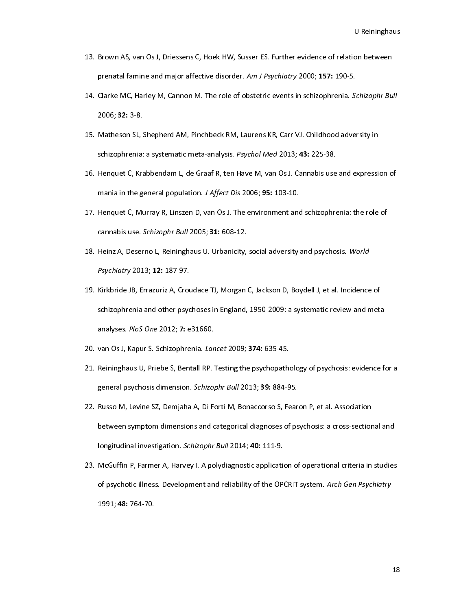- 
- on between<br>.<br>Schizophr Bull 13. Brown As, van Os J, Driessens C, Hoekin, J, Driessens C, Ammericanance of relation between the componental<br>14. Clarke MC, Harley M, Cannon M. The role of obstetric events in schizophrenia. *Schizophr Bu*<br>2006; **32:** 3prenatal familie and major affective disorder. Am J Psychiatry 2000, 157: 150-5.<br>Clarke MC, Harley M, Cannon M. The role of obstetric events in schizophrenia. So<br>2006; **32:** 3-8.<br>Matheson SL, Shepherd AM, Pinchbeck RM, Lau
- 14. Clarke MC, Harley M, Cannon M. The role of obstetric events in schizophrenia. Schizophr Bull<br>2006; 32: 3-8.<br>15. Matheson SL, Shepherd AM, Pinchbeck RM, Laurens KR, Carr VJ. Childhood adversity in<br>schizophrenia: a syste 2000, **32**: 3-8.<br>Matheson SL, :<br>schizophrenia:<br>Henquet C, Kra<br>mania in the g
- 11. Matheson SL, Shepherd AM, Pincherd AM, 2008 Med 2013; 43: 225-38.<br>16. Henquet C, Krabbendam L, de Graaf R, ten Have M, van Os J. Cannabis use and expressionalia in the general population. J Affect Dis 2006; 95: 103-10.
- schizophrenia: a systematic meta-analysis. Fisychol Med 2013; 43: 225-38.<br>Henquet C, Krabbendam L, de Graaf R, ten Have M, van Os J. Cannabis use<br>mania in the general population. J Affect Dis 2006; 95: 103-10.<br>Henquet C, M 16. Henquet C, Murray R, Linszen D, van Os J. The environment and schizophrenia: the role of<br>17. Henquet C, Murray R, Linszen D, van Os J. The environment and schizophrenia: the role of<br>17. Henquet C, Murray R, Linszen D, mania in the general population. J Affect Dis 2000, 95: 103-10.<br>Henquet C, Murray R, Linszen D, van Os J. The environment and<br>cannabis use. *Schizophr Bull* 2005; **31:** 608-12.<br>Heinz A, Deserno L, Reininghaus U. Urbanicity
- 19. Henguar C, Murray M, Linscen C, Murray R, Linscen D, Murray R, Linscen D, Reininghaus U. Urbanicity, social adversity and psychosis. *World<br>18. Heinz A, Deserno L, Reininghaus U. Urbanicity, social adversity and psycho*
- cannabis use. Schizophr Bull 2005, 31: 608-12.<br>Heinz A, Deserno L, Reininghaus U. Urbanicity,<br>Psychiatry 2013; 12: 187-97.<br>Kirkbride JB, Errazuriz A, Croudace TJ, Morgan<br>schizophrenia and other psychoses in England, 18. Heinz A, Deserno L, Reininghaus O. Orbanicity, social adversity and psychosis. World<br>Psychiatry 2013; 12: 187-97.<br>19. Kirkbride JB, Errazuriz A, Croudace TJ, Morgan C, Jackson D, Boydell J, et al. Incidence<br>schizophren *Psychiatry 2013, 12: 187-97.*<br>Kirkbride JB, Errazuriz A, Crot<br>schizophrenia and other psyc<br>analyses. *PloS One* 2012; **7**: e<br>van Os J, Kapur S. Schizophre 19. Schizophrenia and other psychoses in England, 1950-2009: a systematic review and meta<br>19. analyses. *PloS One* 2012; 7: e31660.<br>20. van Os J, Kapur S. Schizophrenia. *Lancet* 2009; **374:** 635-45.<br>21. Reininghaus U, Pri
- 
- general psychosis dimension. Schizophr Bull 2013; 39: 884-95. analyses. PloS One 2012, 7: e31666.<br>Van Os J, Kapur S. Schizophrenia. *Lan*<br>Reininghaus U, Priebe S, Bentall RP.<br>general psychosis dimension. *Schizo*<br>Russo M, Levine SZ, Demjaha A, Di F
- 20. van Os J, Kapur S. Schizophrenia. *Lancet* 2009, 374: 635-45.<br>21. Reininghaus U, Priebe S, Bentall RP. Testing the psychopathe<br>general psychosis dimension. *Schizophr Bull* 2013; **39:** 884-9<br>22. Russo M, Levine SZ, Dem 22. Russo M, Levine SZ, Demjaha A, Di Forti M, Bonaccorso S, Fearon P, et al. Association<br>22. Russo M, Levine SZ, Demjaha A, Di Forti M, Bonaccorso S, Fearon P, et al. Association<br>between symptom dimensions and categorical general psychosis dimension. Sc*hizophr Bull 2013*, 39: 884-95.<br>Russo M, Levine SZ, Demjaha A, Di Forti M, Bonaccorso S, Fear<br>between symptom dimensions and categorical diagnoses of ps<br>longitudinal investigation. *Schizoph* 22. Russon M, Levington M, Levine States of the Sychosis: a cross-section<br>22. Russo M, Former A, Harvey I. A polydiagnostic application of operational criteria in<br>23. McGuffin P, Farmer A, Harvey I. A polydiagnostic applic
- between symptom dimensions and categorical diagnoses of psychological diagnoses of psychological diagnostic dia<br>McGuffin P, Farmer A, Harvey I. A polydiagnostic application of operational criteria in studies<br>of psychotic i longitudinal investigation. Schizophr Bur 2014, 40: 111-9.<br>McGuffin P, Farmer A, Harvey I. A polydiagnostic application<br>of psychotic illness. Development and reliability of the OP<br>1991; 48: 764-70. 23. McGuffin P, Farmer A, Harvey I. A polynographication of polynomial and and an international criteria in studies<br>of psychotic illness. Development and reliability of the OPCRIT system. Arch Gen Psychiatry<br>1991; 48: 764of psychotic illness. Development and reliability of the OPCRIT system. Arch Gen Psychiatry<br>1991; 48: 764-70.  $1991, 70, 704 - 70.$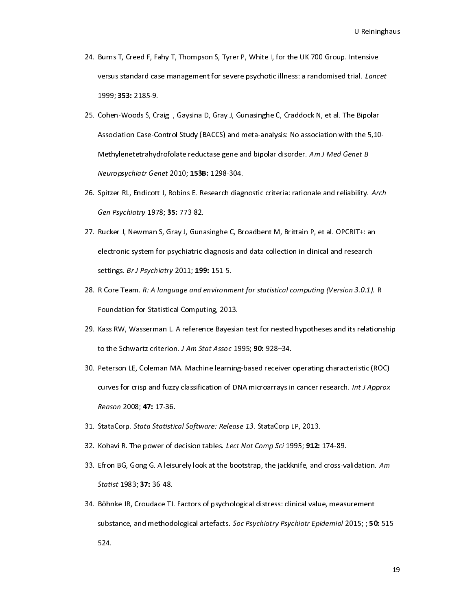- U Reiningham<br>U Reiningham<br>U Reiningham 24. Burns T, Burns T, Manupoles, T, Thompson J, Creme Creed From Formson Versus standard case management for severe psychotic illness: a randomised trial. *Lanc*<br>1999; **353:** 2185-9.<br>25. Cohen-Woods S, Craig I, Gaysina D,
- versus standard case management for severe psychotic illness: a randomised trial. Lancet<br>1999; **353:** 2185-9.<br>Cohen-Woods S, Craig I, Gaysina D, Gray J, Gunasinghe C, Craddock N, et al. The Bipolar<br>Association Case-Control 1999, 333: 2189-9.<br>Cohen-Woods S, Cr<br>Association Case-Co<br>Methylenetetrahyd<br>Neuropsychiatr Gen 25. Cohen-Woods Case-Control Study (BACCS) and meta-analysis: No association with the 5,10<br>Methylenetetrahydrofolate reductase gene and bipolar disorder. Am J Med Genet B<br>Neuropsychiatr Genet 2010; 153B: 1298-304.<br>26. Spit Methylenetetrahydrofolate reductase gene and bipolar disorder. Am J Med Genet B<br>Neuropsychiatr Genet 2010; 153B: 1298-304.<br>Spitzer RL, Endicott J, Robins E. Research diagnostic criteria: rationale and reliability. Arch<br>Gen
- Meuropsychiatr Genet 2010; 153B: 1298-304.<br>Neuropsychiatr Genet 2010; 153B: 1298-304.<br>Spitzer RL, Endicott J, Robins E. Research diagnostic criteria: rationale and reliability.<br>Gen Psychiatry 1978; 35: 773-82.<br>Rucker J, Ne
- Neuropsychiatr Genet 2010, 133B: 1258-304.<br>Spitzer RL, Endicott J, Robins E. Research diag<br>*Gen Psychiatry* 1978; **35**: 773-82.<br>Rucker J, Newman S, Gray J, Gunasinghe C, Br<br>electronic system for psychiatric diagnosis and 20. Spitzer RL, Endicott 3, Robins E. Research diagnostic criteria. rationale and reliability. Arch<br>
27. Rucker J, Newman S, Gray J, Gunasinghe C, Broadbent M, Brittain P, et al. OPCRIT+: an<br>
electronic system for psychiat Bucker J, Newman S, Gray J, Guna<br>Rucker J, Newman S, Gray J, Guna<br>electronic system for psychiatric of<br>settings. *Br J Psychiatry* 2011; 199<br>R Core Team. *R: A language and e* 27. Rucker J, Apple T, Alectronic system for psychiatric diagnosis and data collection in clinical and research<br>settings. *Br J Psychiatry* 2011; 199: 151-5.<br>28. R Core Team. *R: A language and environment for statistical*
- electronic system for psychiatric angles and data collection in clinical and research<br>settings. *Br J Psychiatry* 2011; 199: 151-5.<br>R Core Team. *R: A language and environment for statistical computing (Version 3.0.1).*<br>Fo settings. *Br J T Sychidtry 2011*, 199: 191-9.<br>R Core Team. *R: A language and environm*<br>Foundation for Statistical Computing, 201:<br>Kass RW, Wasserman L. A reference Bayes<br>to the Schwartz criterion. *J Am Stat Assoc*
- 28. R Core Team. R: A language and environment for statistical computing (Version 3.0.1). R<br>29. Kass RW, Wasserman L. A reference Bayesian test for nested hypotheses and its relation:<br>10. Peterson LE, Coleman MA. Machine l
- Foundation for Statistical Computing, 2013.<br>Kass RW, Wasserman L. A reference Bayesia<br>to the Schwartz criterion. *J Am Stat Assoc* 19.<br>Peterson LE, Coleman MA. Machine learning<br>curves for crisp and fuzzy classification of 29. To the Schwartz criterion. *J Am Stat Assoc* 1995; **90**: 928–34.<br>
29. Peterson LE, Coleman MA. Machine learning-based receiver operating characteristic (ROC)<br>
curves for crisp and fuzzy classification of DNA microarray to the Schwartz criterion. J Am Stat Assoc 1993, 90: 928–34.<br>Peterson LE, Coleman MA. Machine learning-based receiver of<br>curves for crisp and fuzzy classification of DNA microarrays in<br>Reason 2008; 47: 17-36.<br>StataCorp. *S* 30. Peterson Curves for crisp and fuzzy classification of DNA microarrays in cancer research. *Int J Approx*<br>81. StataCorp. Stata Statistical Software: Release 13. StataCorp LP, 2013.<br>32. Kohavi R. The power of decision ta curves for crisp and fuzzy classification of DNA microarrays in cancer research. *Int 3 Approx*<br>Reason 2008; 47: 17-36.<br>StataCorp. *Stata Statistical Software: Release 13.* StataCorp LP, 2013.<br>Kohavi R. The power of decisi
- 
- 
- Reason 2000, 47: 17-30.<br>StataCorp. *Stata Statistic*<br>Kohavi R. The power of d<br>Efron BG, Gong G. A leisu<br>*Statist* 1983; **37:** 36-48. 31. StataCorp. Stata Statistical Software: Release 13. StataCorp Lr, 2013.<br>32. Kohavi R. The power of decision tables. *Lect Not Comp Sci* 1995; **912:**<br>33. Efron BG, Gong G. A leisurely look at the bootstrap, the jackknife
- 33. Efron BG, Gong G. A leisurely look at the bootstrap, the jackknife, and cross-va<br>33. Efron BG, Gong G. A leisurely look at the bootstrap, the jackknife, and cross-va<br>34. Böhnke JR, Croudace TJ. Factors of psychological 33. Efron BG, Gong G. A leisurely look at the bootstrap, the jackkinte, and cross-validation. Am<br>Statist 1983; 37: 36-48.<br>34. Böhnke JR, Croudace TJ. Factors of psychological distress: clinical value, measurement<br>substance Statist 1983, **37**: 30-48.<br>Böhnke JR, Croudace TJ.<br>substance, and methodo<br>524. substance, and methodological artefacts. *Soc Psychiatry Psychiatr Epidemiol* 2015; ; 50<br>524. substance, and methodological artefacts. Soc Psychiatry Psychiatr Epidemiol 2015; ; 50: 515-<br>524.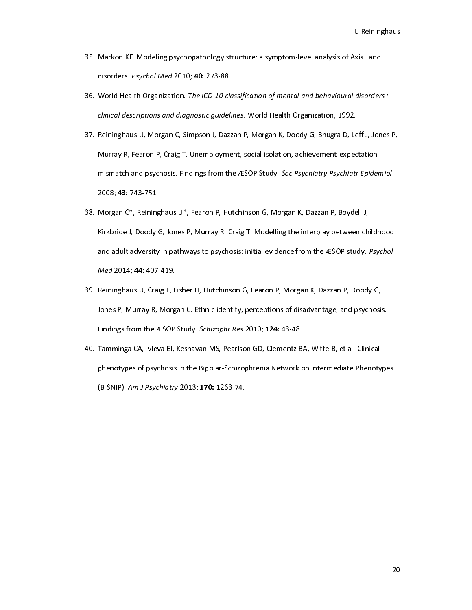- U Reiningham<br>Universely disorders :<br>Universely disorders :
- 33. Markon KE. Model 2010; 10: 273-88.<br>35. World Health Organization. The ICD-10 classification of mental and behavioural disorders :<br>35. World Health Organization. The ICD-10 classification of mental and behavioural disor
- disorders. Psychol Med 2010, 40: 273-88.<br>World Health Organization. *The ICD-10 clo<br>clinical descriptions and diagnostic guideli*<br>Reininghaus U, Morgan C, Simpson J, Dazz<br>Murray R, Fearon P, Craig T. Unemployme 36. World Health Organization. The ICD-10 classification of mental and behavioural disorders :<br>clinical descriptions and diagnostic guidelines. World Health Organization, 1992.<br>37. Reininghaus U, Morgan C, Simpson J, Dazza clininghaus U, Morgan C, Simpson J, Dazzan P, Morgan K, Doody G, Bhugra D, Le<br>Murray R, Fearon P, Craig T. Unemployment, social isolation, achievement-expec<br>mismatch and psychosis. Findings from the ÆSOP Study. *Soc Psychi* 38. Morgan C\*, Reininghaus U\*, Fearon P, Humpson J, Dazzan P, Morgan C, Sciel Isolation, achievement-expectation<br>38. Morgan C\*, Reininghaus U\*, Fearon P, Hutchinson G, Morgan K, Dazzan P, Boydell J, Murray Amismatch and psychosis. Findings from the ÆSOP Study. *Soc Psychiatry Psychiatr Epider*<br>2008; 43: 743-751.<br>Morgan C\*, Reininghaus U\*, Fearon P, Hutchinson G, Morgan K, Dazzan P, Boydell J,<br>Kirkbride J, Doody G, Jon
- mismatch and psychosis. Findings from the ÆSOP Study. Soc Psychiatry Psychiatr Epidemiol<br>2008; 43: 743-751.<br>Morgan C\*, Reininghaus U\*, Fearon P, Hutchinson G, Morgan K, Dazzan P, Boydell J,<br>Kirkbride J, Doody G, Jones P, M 2008, 43: 743-731.<br>Morgan C\*, Reining<br>Kirkbride J, Doody C<br>and adult adversity<br>Med 2014; 44: 407-38. Kirkbride J, Doody G, Jones P, Murray R, Craig T. Modelling the interplay between chi<br>38. Med 2014; 44: 407-419.<br>39. Reininghaus U, Craig T, Fisher H, Hutchinson G, Fearon P, Morgan K, Dazzan P, Doody and adult adversity in pathways to psychosis: initial evidence from the ÆSOP study. *Psychol*<br>Med 2014; 44: 407-419.<br>Reininghaus U, Craig T, Fisher H, Hutchinson G, Fearon P, Morgan K, Dazzan P, Doody G,<br>Jones P, Murray R,
- and adult adversity in pathways to psychosis: initial evidence from the ÆSOP study. Psychol<br>Med 2014; 44: 407-419.<br>Reininghaus U, Craig T, Fisher H, Hutchinson G, Fearon P, Morgan K, Dazzan P, Doody G,<br>Jones P, Murray R, M Med 2014, 44: 407-419.<br>Reininghaus U, Craig T, F<br>Jones P, Murray R, Morg<br>Findings from the ÆSOP<br>Tamminga CA, Ivleva EI, 39. Jones P, Murray R, Morgan C. Ethnic identity, perceptions of disadvantage, and psychosis<br>Findings from the ÆSOP Study. Schizophr Res 2010; 124: 43-48.<br>40. Tamminga CA, Ivleva EI, Keshavan MS, Pearlson GD, Clementz BA,
- Findings from the ÆSOP Study. *Schizophr Res* 2010; 124: 43-48.<br>Tamminga CA, Ivleva EI, Keshavan MS, Pearlson GD, Clementz BA, Witte B, et al. Clinical<br>phenotypes of psychosis in the Bipolar-Schizophrenia Network on Interm Findings from the ÆSOP Study. Schizophr Res 2010, 124: 43-48.<br>Tamminga CA, Ivleva EI, Keshavan MS, Pearlson GD, Clementz B.<br>phenotypes of psychosis in the Bipolar-Schizophrenia Network of<br>(B-SNIP). *Am J Psychiatry* 2013; phenotypes of psychosis in the Bipolar-Schizophrenia Network on Intermediate Phenoty<br>(B-SNIP). Am J Psychiatry 2013; 170: 1263-74. (B-SNIP). Am J Psychiatry 2013; **170**: 1263-74. (B-SNIP). Am J Psychiatry 2013; 170: 1263-74.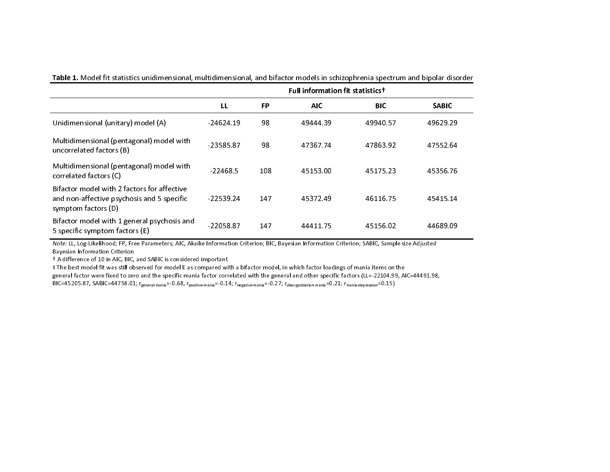|                                                                                                                  | <b>Full information fit statisticst</b> |     |            |            |              |  |  |  |  |
|------------------------------------------------------------------------------------------------------------------|-----------------------------------------|-----|------------|------------|--------------|--|--|--|--|
|                                                                                                                  | LL                                      | FP  | <b>AIC</b> | <b>BIC</b> | <b>SABIC</b> |  |  |  |  |
| Unidimensional (unitary) model (A)                                                                               | 24624.19                                | 98  | 49444 39   | 49940.57   | 49629.29     |  |  |  |  |
| Multidimensional (pentagonal) model with<br>uncorrelated factors (B)                                             | $-23585.87$                             | 98  | 47367.74   | 47863.92   | 47552.64     |  |  |  |  |
| Multidimensional (pentagonal) model with<br>correlated factors (C)                                               | $-22468.5$                              | 108 | 45153.00   | 45175.23   | 45356.76     |  |  |  |  |
| Bifactor model with 2 factors for affective<br>and non-affective psychosis and 5 specific<br>symptom factors (D) | $-22539.24$                             | 147 | 45372.49   | 46116.75   | 45415.14     |  |  |  |  |
| Bifactor model with 1 general psychosis and<br>5 specific symptom factors (E)                                    | -22058.87                               | 147 | 44411.75   | 45156.02   | 44689.09     |  |  |  |  |

Table 1. Model fit statistics unidimensional, multidimensional, and bifactor models in schizophrenia spectrum and bipolar disorder

Note: LL, Log-Likelihood; FP, Free Parameters; AIC, Akaike Information Criterion; BIC, Bayesian Information Criterion; SABIC, Sample size Adjusted Bayesian Information Criterion

† A difference of 10 in AIC, BIC, and SABIC is considered important

‡ The best model fit was still observed for model E as compared with a bifactor model, in which factor loadings of mania items on the general factor were fixed to zero and the specific mania factor correlated with the general and other specific factors (LL=-22104.99, AIC=44491.98, BIC=45205.87, SABIC=44758.01; r<sub>general-mania</sub>=-0.68, r<sub>positive-mania</sub>=-0.14; r<sub>negative-mania</sub>=-0.27; rdisorganization-mania<sup>=0.21;</sup> rmania-depression=0.15)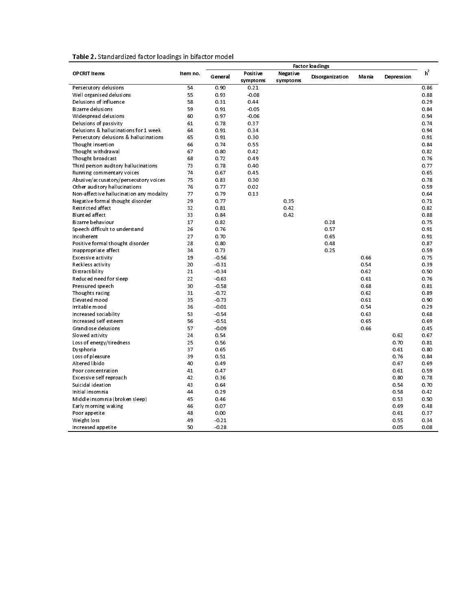|  | Table 2. Standardized factor loadings in bifactor model |
|--|---------------------------------------------------------|
|--|---------------------------------------------------------|

| Table 2. Standardized factor loadings in bifactor model |                        |         |                      |                      |                 |        |            |       |  |
|---------------------------------------------------------|------------------------|---------|----------------------|----------------------|-----------------|--------|------------|-------|--|
|                                                         | <b>Factor loadings</b> |         |                      |                      |                 |        |            |       |  |
| <b>OPCRIT Items</b>                                     | Item no.               | General | Positive<br>symptoms | Negative<br>symptoms | Disorganization | Ma nia | Depression | $h^2$ |  |
| Persecutory delusions                                   | 54                     | 0.90    | 0.21                 |                      |                 |        |            | 0.86  |  |
| Well organised delusions                                | 55                     | 0.93    | $-0.08$              |                      |                 |        |            | 0.88  |  |
| Delusions of influence                                  | 58                     | 0.31    | 0.44                 |                      |                 |        |            | 0.29  |  |
| <b>Bizarre delusions</b>                                | 59                     | 0.91    | $-0.05$              |                      |                 |        |            | 0.84  |  |
| Widespread delusions                                    | 60                     | 0.97    | $-0.06$              |                      |                 |        |            | 0.94  |  |
| Delusions of passivity                                  | 61                     | 0.78    | 0.37                 |                      |                 |        |            | 0.74  |  |
| Delusions & hallucinations for 1 week                   | 64                     | 0.91    | 0.34                 |                      |                 |        |            | 0.94  |  |
| Persecutory delusions & hallucinations                  | 65                     | 0.91    | 0.30                 |                      |                 |        |            | 0.91  |  |
| Thought insertion                                       | 66                     | 0.74    | 0.55                 |                      |                 |        |            | 0.84  |  |
| Thought withdrawal                                      | 67                     | 0.80    | 0.42                 |                      |                 |        |            | 0.82  |  |
| Thought broadcast                                       | 68                     | 0.72    | 0.49                 |                      |                 |        |            | 0.76  |  |
| Third person auditory hallucinations                    | 73                     | 0.78    | 0.40                 |                      |                 |        |            | 0.77  |  |
| Running commentary voices                               | 74                     | 0.67    | 0.45                 |                      |                 |        |            | 0.65  |  |
| Abusive/accusatory/persecutory voices                   | 75                     | 0.83    | 0.30                 |                      |                 |        |            | 0.78  |  |
| Other auditory hallucinations                           | 76                     | 0.77    | 0.02                 |                      |                 |        |            | 0.59  |  |
| Non-affective hallucination any modality                | 77                     | 0.79    | 0.13                 |                      |                 |        |            | 0.64  |  |
| Negative formal thought disorder                        | 29                     | 0.77    |                      | 0.35                 |                 |        |            | 0.71  |  |
| Restricted affect                                       | 32                     | 081     |                      | 0.42                 |                 |        |            | 0.82  |  |
| <b>Blunted affect</b>                                   | 33                     | 0.84    |                      | 0.42                 |                 |        |            | 0.88  |  |
| Bizarre behaviour                                       | 17                     | 0.82    |                      |                      | 0.28            |        |            | 0.75  |  |
| Speech difficult to understand                          | 26                     | 0.76    |                      |                      | 0.57            |        |            | 0.91  |  |
| Incoherent                                              | 27                     | 0.70    |                      |                      | 0.65            |        |            | 0.91  |  |
| Positive formal thought disorder                        | 28                     | 0.80    |                      |                      | 0.48            |        |            | 0.87  |  |
| Inappropriate affect                                    | 34                     | 0.73    |                      |                      | 0.25            |        |            | 0.59  |  |
| Excessive activity                                      | 19                     | $-0.56$ |                      |                      |                 | 0.66   |            | 0.75  |  |
| Reckless activity                                       | 20                     | $-0.31$ |                      |                      |                 | 0.54   |            | 0.39  |  |
| Distractibility                                         | 21                     | $-0.34$ |                      |                      |                 | 0.62   |            | 0.50  |  |
| Reduced need for sleep                                  | 22                     | $-0.63$ |                      |                      |                 | 0.61   |            | 0.76  |  |
| Pressured speech                                        | 30                     | $-0.58$ |                      |                      |                 | 0.68   |            | 0.81  |  |
| Thoughts racing                                         | 31                     | $-0.72$ |                      |                      |                 | 0.62   |            | 0.89  |  |
| Elevat ed mood                                          | 35                     | $-0.73$ |                      |                      |                 | 0.61   |            | 0.90  |  |
| Irritable mood                                          | 36                     | $-0.01$ |                      |                      |                 | 0.54   |            | 0.29  |  |
| Increased sociability                                   | 53                     | $-0.54$ |                      |                      |                 | 0.63   |            | 0.68  |  |
| Increased self esteem                                   | 56                     | $-0.51$ |                      |                      |                 | 0.65   |            | 0.69  |  |
| Grandiose delusions                                     | 57                     | $-0.09$ |                      |                      |                 | 0.66   |            | 0.45  |  |
| Slowed activity                                         | 24                     | 0.54    |                      |                      |                 |        | 0.62       | 0.67  |  |
| Loss of energy/tiredness                                | 25                     | 0.56    |                      |                      |                 |        | 0.70       | 0.81  |  |
| Dysphoria                                               | 37                     | 0.65    |                      |                      |                 |        | 0.61       | 0.80  |  |
| Loss of pleasure                                        | 39                     | 0.51    |                      |                      |                 |        | 0.76       | 0.84  |  |
| Altered libido                                          | 40                     | 0.49    |                      |                      |                 |        | 0.67       | 0.69  |  |
| Poor concentration                                      | 41                     | 0.47    |                      |                      |                 |        | 0.61       | 0.59  |  |
| Excessive self reproach                                 | 42                     | 0.36    |                      |                      |                 |        | 0.80       | 0.78  |  |
| Suicidal ideation                                       | 43                     | 0.64    |                      |                      |                 |        | 0.54       | 0.70  |  |
| Initial insomnia                                        | 44                     | 0.29    |                      |                      |                 |        | 0.58       | 0.42  |  |
| Middle insomnia (broken sleep)                          | 45                     | 0.46    |                      |                      |                 |        | 0.53       | 0.50  |  |
| Early morning waking                                    | 46                     | 0.07    |                      |                      |                 |        | 0.69       | 0.48  |  |
| Poor appetite                                           | 48                     | 0.00    |                      |                      |                 |        | 0.61       | 0.37  |  |
| Weight loss                                             | 49                     | 0.21    |                      |                      |                 |        | 0.55       | 0.34  |  |
| Increased appetite                                      | 50                     | $-0.28$ |                      |                      |                 |        | 0.05       | 0.08  |  |
|                                                         |                        |         |                      |                      |                 |        |            |       |  |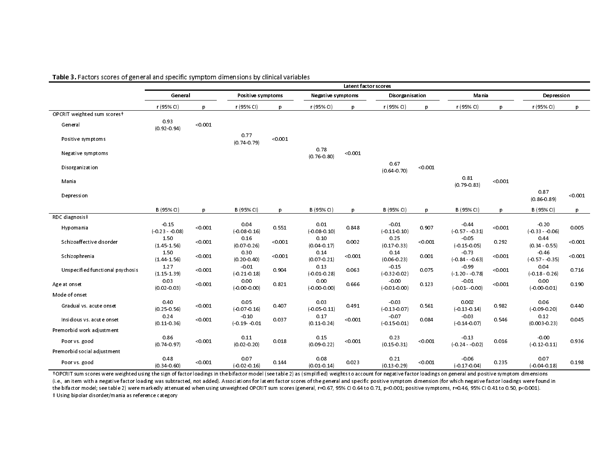|                                  | Latent factor scores        |         |                             |         |                          |         |                             |         |                            |         |                               |         |
|----------------------------------|-----------------------------|---------|-----------------------------|---------|--------------------------|---------|-----------------------------|---------|----------------------------|---------|-------------------------------|---------|
|                                  | General                     |         | Positive symptoms           |         | <b>Negative symptoms</b> |         | Disorganisation             |         | Mania                      |         | Depression                    |         |
|                                  | r (95% CI)                  | p       | r (95% CI)                  | p       | r (95% CI)               | p       | r (95% CI)                  | p       | r (95% CI)                 | D       | r (95% CI)                    | p       |
| OPCRIT weighted sum scores+      |                             |         |                             |         |                          |         |                             |         |                            |         |                               |         |
| General                          | 0.93<br>(0.92 0.94)         | < 0.001 |                             |         |                          |         |                             |         |                            |         |                               |         |
| Positive symptoms                |                             |         | 0.77<br>$(0.74 \cdot 0.79)$ | < 0.001 |                          |         |                             |         |                            |         |                               |         |
| Negative symptoms                |                             |         |                             |         | 0.78<br>$(0.76 \ 0.80)$  | < 0.001 |                             |         |                            |         |                               |         |
| Disorganization                  |                             |         |                             |         |                          |         | 0.67<br>$(0.64 \cdot 0.70)$ | < 0.001 |                            |         |                               |         |
| Mania                            |                             |         |                             |         |                          |         |                             |         | 0.81<br>(0.79.0.83)        | < 0.001 |                               |         |
| Depression                       |                             |         |                             |         |                          |         |                             |         |                            |         | 0.87<br>$(0.86 \ 0.89)$       | < 0.001 |
|                                  | B (95% CI)                  | p       | B (95% CI)                  | p       | B (95% CI)               | p       | B (95% CI)                  | p       | B (95% CI)                 | p       | B (95% CI)                    | p       |
| RDC diagnosis‡                   |                             |         |                             |         |                          |         |                             |         |                            |         |                               |         |
| Hypomania                        | $-0.15$<br>$(0.23 - 0.08)$  | < 0.001 | 0.04<br>(0.080.16)          | 0.551   | 0.01<br>(0.080.10)       | 0.848   | $-0.01$<br>(0.110.10)       | 0.907   | $-0.44$<br>$(0.57 - 0.31)$ | < 0.001 | $-0.20$<br>$(0.33 - 0.06)$    | 0.005   |
| Schizoaffective disorder         | 1.50<br>(14515)             | < 0.001 | 0.16<br>(0.07.0.26)         | < 0.001 | 0.10<br>(0.04.0.17)      | 0.002   | 0.25<br>(0.17, 0.33)        | < 0.001 | $-0.05$<br>(0.15005)       | 0.292   | 0.44<br>$(0.34 \cdot 0.55)$   | < 0.001 |
| Schizophrenia                    | 1.50<br>(1.44.1.56)         | < 0.001 | 0.30<br>$(0.20 - 0.40)$     | < 0.001 | 0.14<br>$(0.07 - 0.21)$  | < 0.001 | 0.14<br>$(0.06 - 0.23)$     | 0.001   | $-0.73$<br>$(0.84 - 0.63)$ | < 0.001 | $-0.46$<br>$(0.57 - 0.35)$    | < 0.001 |
| Unspecified functional psychosis | 1.27<br>(1.15.1.39)         | < 0.001 | $-0.01$<br>(0.210.18)       | 0.904   | 0.13<br>$(-0.01.0.28)$   | 0.063   | $-0.15$<br>(0.32002)        | 0.075   | $-0.99$<br>$(120 - 078)$   | < 0.001 | 0.04<br>(018026)              | 0.716   |
| Age at onset                     | 0.03<br>$(0.02 - 0.03)$     | < 0.001 | 0.00<br>(0.00, 0.00)        | 0.821   | 0.00<br>(0.000000)       | 0.666   | $-0.00$<br>(0.01000)        | 0.123   | $-0.01$<br>$(0.01 - 0.00)$ | < 0.001 | 0.00<br>$( -0.00 \cdot 0.01)$ | 0.190   |
| Mode of onset                    |                             |         |                             |         |                          |         |                             |         |                            |         |                               |         |
| Gradual vs. acute onset          | 0.40<br>$(0.25 \cdot 0.56)$ | < 0.001 | 0.05<br>(0.070.16)          | 0.407   | 0.03<br>(0.050011)       | 0.491   | $-0.03$<br>(0.13007)        | 0.561   | 0.002<br>(0.13014)         | 0.982   | 0.06<br>(0.09020)             | 0.440   |
| Insidious vs. acute onset        | 0.24<br>(0.11 0.36)         | < 0.001 | $-0.10$<br>(0.19 0.01)      | 0.037   | 0.17<br>(0.11 0.24)      | < 0.001 | $-0.07$<br>(0.15001)        | 0.084   | $-0.03$<br>(0.14007)       | 0.546   | 0.12<br>$(0.003 - 0.23)$      | 0.045   |
| Premorbid work adjustment        |                             |         |                             |         |                          |         |                             |         |                            |         |                               |         |
| Poor vs. good                    | 0.86<br>(0.74 0.97)         | < 0.001 | 0.11<br>$(0.02 - 0.20)$     | 0.018   | 0.15<br>$(0.09 \ 0.22)$  | < 0.001 | 0.23<br>$(0.15 \cdot 0.31)$ | < 0.001 | $-0.13$<br>$(0.24 - 0.02)$ | 0.016   | $-0.00$<br>(012011)           | 0.936   |
| Premorbid social adjustment      |                             |         |                             |         |                          |         |                             |         |                            |         |                               |         |
| Poor vs good                     | 0.48<br>(0.34 0.60)         | < 0.001 | 0.07<br>$(0.02 \ 0.16)$     | 0.144   | 0.08<br>(0.01 0.14)      | 0.023   | 0.21<br>$(0.13 \ 0.29)$     | < 0.001 | $-0.06$<br>(017004)        | 0.235   | 0.07<br>(0.04018)             | 0.198   |

### Table 3. Factors scores of general and specific symptom dimensions by clinical variables

†OPCRIT sum scores were weighted using the sign of factor loadings in the bifactor model (see table 2) as (simplified) weights to account for negative factor loadings on general and positive symptom dimensions (i.e., an item with a negative factor loading was subtracted, not added). Associations for latent factor scores of the general and specific positive symptom dimension (for which negative factor loadings were found in the bifactor model; see table 2) were markedly attenuated when using unweighted OPCRIT sum scores (general, r=0.67, 95% CI 0.41 to 0.71, p<0.001; positive symptoms, r=0.46, 95% CI 0.41 to 0.50, p<0.001). ‡ Using bipolar disorder/mania as reference category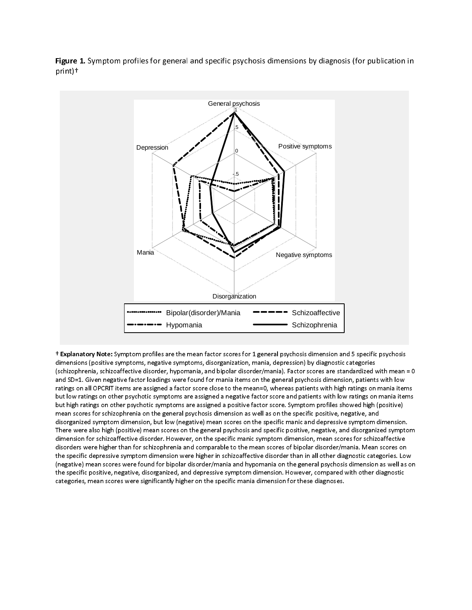Figure 1. Symptom profiles for general and specific psychosis dimensions by diagnosis (for publication in print)†



 † Explanatory Note: Symptom profiles are the mean factor scores for 1 general psychosis dimension and 5 specific psychosis (schizophrenia, schizoaffective disorder, hypomania, and bipolar disorder/mania). Factor scores are standardized with mean = 0 and SD=1. Given negative factor loadings were found for mania items on the general psychosis dimension, patients with low ratings on all OPCRIT items are assigned a factor score close to the mean=0, whereas patients with high ratings on mania items but low ratings on other psychotic symptoms are assigned a negative factor score and patients with low ratings on mania items but high ratings on other psychotic symptoms are assigned a positive factor score. Symptom profiles showed high (positive) mean scores for schizophrenia on the general psychosis dimension as well as on the specific positive, negative, and disorganized symptom dimension, but low (negative) mean scores on the specific manic and depressive symptom dimension. There were also high (positive) mean scores on the general psychosis and specific positive, negative, and disorganized symptom dimension for schizoaffective disorder. However, on the specific manic symptom dimension, mean scores for schizoaffective disorders were higher than for schizophrenia and comparable to the mean scores of bipolar disorder/mania. Mean scores on the specific depressive symptom dimension were higher in schizoaffective disorder than in all other diagnostic categories. Low (negative) mean scores were found for bipolar disorder/mania and hypomania on the general psychosis dimension as well as on the specific positive, negative, disorganized, and depressive symptom dimension. However, compared with other diagnostic the specific positive, negative, and depressive symptom dimension. However, compared with other diagnostic symptom dimension. However, compared with other disorganized, and the state of the state of the state of the state categories, mean scores were significantly higher on the specific mania dimension for these diagnoses.